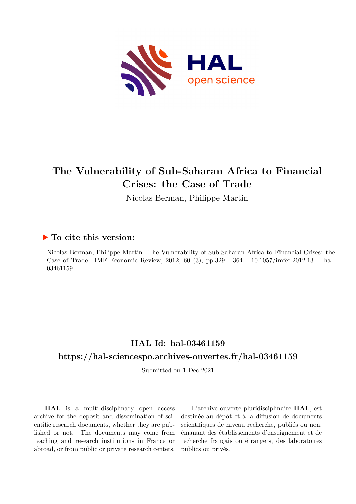

## **The Vulnerability of Sub-Saharan Africa to Financial Crises: the Case of Trade**

Nicolas Berman, Philippe Martin

## **To cite this version:**

Nicolas Berman, Philippe Martin. The Vulnerability of Sub-Saharan Africa to Financial Crises: the Case of Trade. IMF Economic Review, 2012, 60 (3), pp.329 - 364.  $10.1057/$ imfer.2012.13. hal-03461159

# **HAL Id: hal-03461159**

## **<https://hal-sciencespo.archives-ouvertes.fr/hal-03461159>**

Submitted on 1 Dec 2021

**HAL** is a multi-disciplinary open access archive for the deposit and dissemination of scientific research documents, whether they are published or not. The documents may come from teaching and research institutions in France or abroad, or from public or private research centers.

L'archive ouverte pluridisciplinaire **HAL**, est destinée au dépôt et à la diffusion de documents scientifiques de niveau recherche, publiés ou non, émanant des établissements d'enseignement et de recherche français ou étrangers, des laboratoires publics ou privés.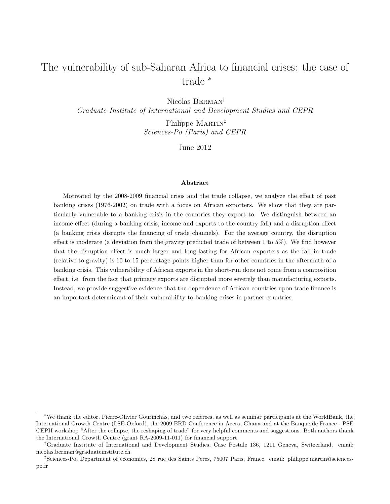## The vulnerability of sub-Saharan Africa to financial crises: the case of trade <sup>∗</sup>

Nicolas Berman† Graduate Institute of International and Development Studies and CEPR

> Philippe MARTIN<sup>‡</sup> Sciences-Po (Paris) and CEPR

> > June 2012

#### Abstract

Motivated by the 2008-2009 financial crisis and the trade collapse, we analyze the effect of past banking crises (1976-2002) on trade with a focus on African exporters. We show that they are particularly vulnerable to a banking crisis in the countries they export to. We distinguish between an income effect (during a banking crisis, income and exports to the country fall) and a disruption effect (a banking crisis disrupts the financing of trade channels). For the average country, the disruption effect is moderate (a deviation from the gravity predicted trade of between 1 to 5%). We find however that the disruption effect is much larger and long-lasting for African exporters as the fall in trade (relative to gravity) is 10 to 15 percentage points higher than for other countries in the aftermath of a banking crisis. This vulnerability of African exports in the short-run does not come from a composition effect, i.e. from the fact that primary exports are disrupted more severely than manufacturing exports. Instead, we provide suggestive evidence that the dependence of African countries upon trade finance is an important determinant of their vulnerability to banking crises in partner countries.

<sup>∗</sup>We thank the editor, Pierre-Olivier Gourinchas, and two referees, as well as seminar participants at the WorldBank, the International Growth Centre (LSE-Oxford), the 2009 ERD Conference in Accra, Ghana and at the Banque de France - PSE CEPII workshop "After the collapse, the reshaping of trade" for very helpful comments and suggestions. Both authors thank the International Growth Centre (grant RA-2009-11-011) for financial support.

<sup>†</sup>Graduate Institute of International and Development Studies, Case Postale 136, 1211 Geneva, Switzerland. email: nicolas.berman@graduateinstitute.ch

<sup>‡</sup>Sciences-Po, Department of economics, 28 rue des Saints Peres, 75007 Paris, France. email: philippe.martin@sciencespo.fr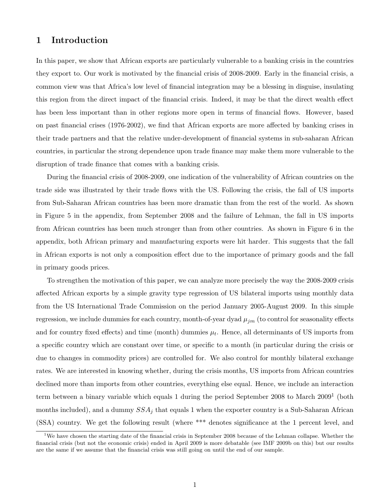#### 1 Introduction

In this paper, we show that African exports are particularly vulnerable to a banking crisis in the countries they export to. Our work is motivated by the financial crisis of 2008-2009. Early in the financial crisis, a common view was that Africa's low level of financial integration may be a blessing in disguise, insulating this region from the direct impact of the financial crisis. Indeed, it may be that the direct wealth effect has been less important than in other regions more open in terms of financial flows. However, based on past financial crises (1976-2002), we find that African exports are more affected by banking crises in their trade partners and that the relative under-development of financial systems in sub-saharan African countries, in particular the strong dependence upon trade finance may make them more vulnerable to the disruption of trade finance that comes with a banking crisis.

During the financial crisis of 2008-2009, one indication of the vulnerability of African countries on the trade side was illustrated by their trade flows with the US. Following the crisis, the fall of US imports from Sub-Saharan African countries has been more dramatic than from the rest of the world. As shown in Figure 5 in the appendix, from September 2008 and the failure of Lehman, the fall in US imports from African countries has been much stronger than from other countries. As shown in Figure 6 in the appendix, both African primary and manufacturing exports were hit harder. This suggests that the fall in African exports is not only a composition effect due to the importance of primary goods and the fall in primary goods prices.

To strengthen the motivation of this paper, we can analyze more precisely the way the 2008-2009 crisis affected African exports by a simple gravity type regression of US bilateral imports using monthly data from the US International Trade Commission on the period January 2005-August 2009. In this simple regression, we include dummies for each country, month-of-year dyad  $\mu_{jm}$  (to control for seasonality effects and for country fixed effects) and time (month) dummies  $\mu_t$ . Hence, all determinants of US imports from a specific country which are constant over time, or specific to a month (in particular during the crisis or due to changes in commodity prices) are controlled for. We also control for monthly bilateral exchange rates. We are interested in knowing whether, during the crisis months, US imports from African countries declined more than imports from other countries, everything else equal. Hence, we include an interaction term between a binary variable which equals 1 during the period September 2008 to March 2009<sup>1</sup> (both months included), and a dummy  $SSA_i$  that equals 1 when the exporter country is a Sub-Saharan African (SSA) country. We get the following result (where \*\*\* denotes significance at the 1 percent level, and

<sup>&</sup>lt;sup>1</sup>We have chosen the starting date of the financial crisis in September 2008 because of the Lehman collapse. Whether the financial crisis (but not the economic crisis) ended in April 2009 is more debatable (see IMF 2009b on this) but our results are the same if we assume that the financial crisis was still going on until the end of our sample.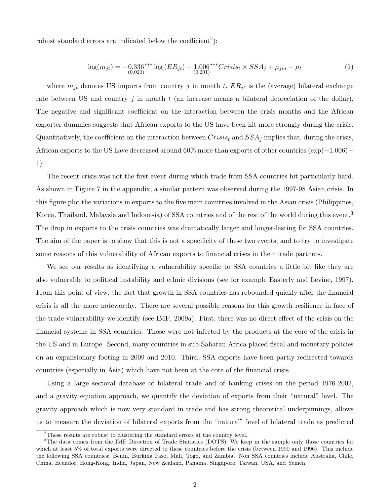robust standard errors are indicated below the coefficient<sup>2</sup>):

$$
\log(m_{jt}) = -0.336^{***} \log(ER_{jt}) - 1.006^{***} Crisis_t \times SSA_j + \mu_{jm} + \mu_t
$$
<sup>(1)</sup>

where  $m_{jt}$  denotes US imports from country j in month t,  $ER_{jt}$  is the (average) bilateral exchange rate between US and country  $j$  in month  $t$  (an increase means a bilateral depreciation of the dollar). The negative and significant coefficient on the interaction between the crisis months and the African exporter dummies suggests that African exports to the US have been hit more strongly during the crisis. Quantitatively, the coefficient on the interaction between  $Crisis_t$  and  $SSA_j$  implies that, during the crisis, African exports to the US have decreased around  $60\%$  more than exports of other countries  $(\exp(-1.006) -$ 1).

The recent crisis was not the first event during which trade from SSA countries hit particularly hard. As shown in Figure 7 in the appendix, a similar pattern was observed during the 1997-98 Asian crisis. In this figure plot the variations in exports to the five main countries involved in the Asian crisis (Philippines, Korea, Thailand, Malaysia and Indonesia) of SSA countries and of the rest of the world during this event.<sup>3</sup> The drop in exports to the crisis countries was dramatically larger and longer-lasting for SSA countries. The aim of the paper is to show that this is not a specificity of these two events, and to try to investigate some reasons of this vulnerability of African exports to financial crises in their trade partners.

We see our results as identifying a vulnerability specific to SSA countries a little bit like they are also vulnerable to political instability and ethnic divisions (see for example Easterly and Levine, 1997). From this point of view, the fact that growth in SSA countries has rebounded quickly after the financial crisis is all the more noteworthy. There are several possible reasons for this growth resilience in face of the trade vulnerability we identify (see IMF, 2009a). First, there was no direct effect of the crisis on the financial systems in SSA countries. Those were not infected by the products at the core of the crisis in the US and in Europe. Second, many countries in sub-Saharan Africa placed fiscal and monetary policies on an expansionary footing in 2009 and 2010. Third, SSA exports have been partly redirected towards countries (especially in Asia) which have not been at the core of the financial crisis.

Using a large sectoral database of bilateral trade and of banking crises on the period 1976-2002, and a gravity equation approach, we quantify the deviation of exports from their "natural" level. The gravity approach which is now very standard in trade and has strong theoretical underpinnings, allows us to measure the deviation of bilateral exports from the "natural" level of bilateral trade as predicted

<sup>&</sup>lt;sup>2</sup>These results are robust to clustering the standard errors at the country level.

<sup>&</sup>lt;sup>3</sup>The data comes from the IMF Direction of Trade Statistics (DOTS). We keep in the sample only those countries for which at least 5% of total exports were directed to these countries before the crisis (between 1990 and 1996). This include the following SSA countries: Benin, Burkina Faso, Mali, Togo, and Zambia. Non SSA countries include Australia, Chile, China, Ecuador, Hong-Kong, India, Japan, New Zealand, Panama, Singapore, Taiwan, USA, and Yemen.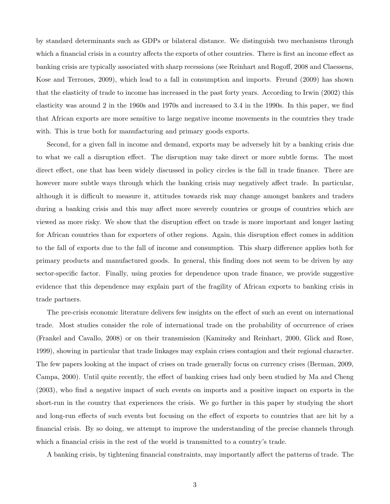by standard determinants such as GDPs or bilateral distance. We distinguish two mechanisms through which a financial crisis in a country affects the exports of other countries. There is first an income effect as banking crisis are typically associated with sharp recessions (see Reinhart and Rogoff, 2008 and Claessens, Kose and Terrones, 2009), which lead to a fall in consumption and imports. Freund (2009) has shown that the elasticity of trade to income has increased in the past forty years. According to Irwin (2002) this elasticity was around 2 in the 1960s and 1970s and increased to 3.4 in the 1990s. In this paper, we find that African exports are more sensitive to large negative income movements in the countries they trade with. This is true both for manufacturing and primary goods exports.

Second, for a given fall in income and demand, exports may be adversely hit by a banking crisis due to what we call a disruption effect. The disruption may take direct or more subtle forms. The most direct effect, one that has been widely discussed in policy circles is the fall in trade finance. There are however more subtle ways through which the banking crisis may negatively affect trade. In particular, although it is difficult to measure it, attitudes towards risk may change amongst bankers and traders during a banking crisis and this may affect more severely countries or groups of countries which are viewed as more risky. We show that the disruption effect on trade is more important and longer lasting for African countries than for exporters of other regions. Again, this disruption effect comes in addition to the fall of exports due to the fall of income and consumption. This sharp difference applies both for primary products and manufactured goods. In general, this finding does not seem to be driven by any sector-specific factor. Finally, using proxies for dependence upon trade finance, we provide suggestive evidence that this dependence may explain part of the fragility of African exports to banking crisis in trade partners.

The pre-crisis economic literature delivers few insights on the effect of such an event on international trade. Most studies consider the role of international trade on the probability of occurrence of crises (Frankel and Cavallo, 2008) or on their transmission (Kaminsky and Reinhart, 2000, Glick and Rose, 1999), showing in particular that trade linkages may explain crises contagion and their regional character. The few papers looking at the impact of crises on trade generally focus on currency crises (Berman, 2009, Campa, 2000). Until quite recently, the effect of banking crises had only been studied by Ma and Cheng (2003), who find a negative impact of such events on imports and a positive impact on exports in the short-run in the country that experiences the crisis. We go further in this paper by studying the short and long-run effects of such events but focusing on the effect of exports to countries that are hit by a financial crisis. By so doing, we attempt to improve the understanding of the precise channels through which a financial crisis in the rest of the world is transmitted to a country's trade.

A banking crisis, by tightening financial constraints, may importantly affect the patterns of trade. The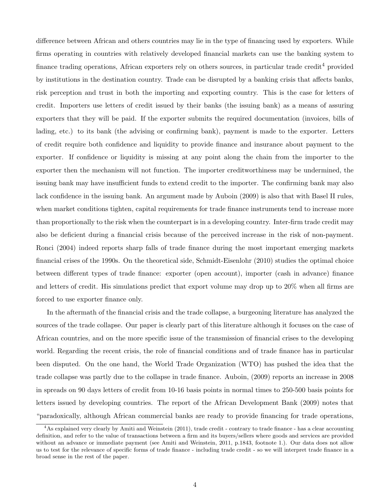difference between African and others countries may lie in the type of financing used by exporters. While firms operating in countries with relatively developed financial markets can use the banking system to finance trading operations, African exporters rely on others sources, in particular trade credit<sup>4</sup> provided by institutions in the destination country. Trade can be disrupted by a banking crisis that affects banks, risk perception and trust in both the importing and exporting country. This is the case for letters of credit. Importers use letters of credit issued by their banks (the issuing bank) as a means of assuring exporters that they will be paid. If the exporter submits the required documentation (invoices, bills of lading, etc.) to its bank (the advising or confirming bank), payment is made to the exporter. Letters of credit require both confidence and liquidity to provide finance and insurance about payment to the exporter. If confidence or liquidity is missing at any point along the chain from the importer to the exporter then the mechanism will not function. The importer creditworthiness may be undermined, the issuing bank may have insufficient funds to extend credit to the importer. The confirming bank may also lack confidence in the issuing bank. An argument made by Auboin (2009) is also that with Basel II rules, when market conditions tighten, capital requirements for trade finance instruments tend to increase more than proportionally to the risk when the counterpart is in a developing country. Inter-firm trade credit may also be deficient during a financial crisis because of the perceived increase in the risk of non-payment. Ronci (2004) indeed reports sharp falls of trade finance during the most important emerging markets financial crises of the 1990s. On the theoretical side, Schmidt-Eisenlohr (2010) studies the optimal choice between different types of trade finance: exporter (open account), importer (cash in advance) finance and letters of credit. His simulations predict that export volume may drop up to 20% when all firms are forced to use exporter finance only.

In the aftermath of the financial crisis and the trade collapse, a burgeoning literature has analyzed the sources of the trade collapse. Our paper is clearly part of this literature although it focuses on the case of African countries, and on the more specific issue of the transmission of financial crises to the developing world. Regarding the recent crisis, the role of financial conditions and of trade finance has in particular been disputed. On the one hand, the World Trade Organization (WTO) has pushed the idea that the trade collapse was partly due to the collapse in trade finance. Auboin, (2009) reports an increase in 2008 in spreads on 90 days letters of credit from 10-16 basis points in normal times to 250-500 basis points for letters issued by developing countries. The report of the African Development Bank (2009) notes that "paradoxically, although African commercial banks are ready to provide financing for trade operations,

 ${}^{4}$ As explained very clearly by Amiti and Weinstein (2011), trade credit - contrary to trade finance - has a clear accounting definition, and refer to the value of transactions between a firm and its buyers/sellers where goods and services are provided without an advance or immediate payment (see Amiti and Weinstein, 2011, p.1843, footnote 1.). Our data does not allow us to test for the relevance of specific forms of trade finance - including trade credit - so we will interpret trade finance in a broad sense in the rest of the paper.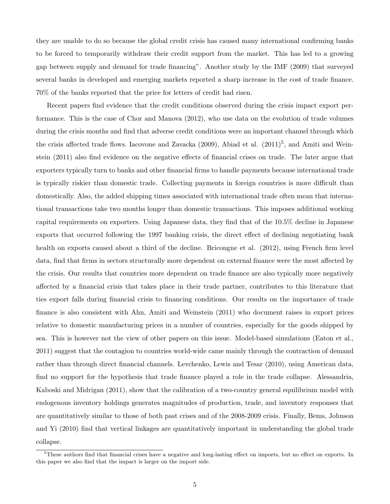they are unable to do so because the global credit crisis has caused many international confirming banks to be forced to temporarily withdraw their credit support from the market. This has led to a growing gap between supply and demand for trade financing". Another study by the IMF (2009) that surveyed several banks in developed and emerging markets reported a sharp increase in the cost of trade finance. 70% of the banks reported that the price for letters of credit had risen.

Recent papers find evidence that the credit conditions observed during the crisis impact export performance. This is the case of Chor and Manova (2012), who use data on the evolution of trade volumes during the crisis months and find that adverse credit conditions were an important channel through which the crisis affected trade flows. Iacovone and Zavacka  $(2009)$ , Abiad et al.  $(2011)^5$ , and Amiti and Weinstein (2011) also find evidence on the negative effects of financial crises on trade. The later argue that exporters typically turn to banks and other financial firms to handle payments because international trade is typically riskier than domestic trade. Collecting payments in foreign countries is more difficult than domestically. Also, the added shipping times associated with international trade often mean that international transactions take two months longer than domestic transactions. This imposes additional working capital requirements on exporters. Using Japanese data, they find that of the 10.5% decline in Japanese exports that occurred following the 1997 banking crisis, the direct effect of declining negotiating bank health on exports caused about a third of the decline. Bricongne et al. (2012), using French firm level data, find that firms in sectors structurally more dependent on external finance were the most affected by the crisis. Our results that countries more dependent on trade finance are also typically more negatively affected by a financial crisis that takes place in their trade partner, contributes to this literature that ties export falls during financial crisis to financing conditions. Our results on the importance of trade finance is also consistent with Ahn, Amiti and Weinstein (2011) who document raises in export prices relative to domestic manufacturing prices in a number of countries, especially for the goods shipped by sea. This is however not the view of other papers on this issue. Model-based simulations (Eaton et al., 2011) suggest that the contagion to countries world-wide came mainly through the contraction of demand rather than through direct financial channels. Levchenko, Lewis and Tesar (2010), using American data, find no support for the hypothesis that trade finance played a role in the trade collapse. Alessandria, Kaboski and Midrigan (2011), show that the calibration of a two-country general equilibrium model with endogenous inventory holdings generates magnitudes of production, trade, and inventory responses that are quantitatively similar to those of both past crises and of the 2008-2009 crisis. Finally, Bems, Johnson and Yi (2010) find that vertical linkages are quantitatively important in understanding the global trade collapse.

<sup>5</sup>These authors find that financial crises have a negative and long-lasting effect on imports, but no effect on exports. In this paper we also find that the impact is larger on the import side.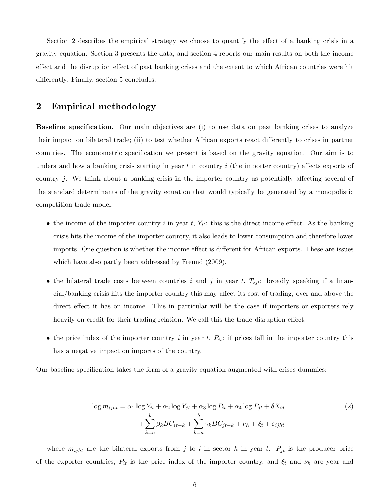Section 2 describes the empirical strategy we choose to quantify the effect of a banking crisis in a gravity equation. Section 3 presents the data, and section 4 reports our main results on both the income effect and the disruption effect of past banking crises and the extent to which African countries were hit differently. Finally, section 5 concludes.

#### 2 Empirical methodology

Baseline specification. Our main objectives are (i) to use data on past banking crises to analyze their impact on bilateral trade; (ii) to test whether African exports react differently to crises in partner countries. The econometric specification we present is based on the gravity equation. Our aim is to understand how a banking crisis starting in year  $t$  in country  $i$  (the importer country) affects exports of country j. We think about a banking crisis in the importer country as potentially affecting several of the standard determinants of the gravity equation that would typically be generated by a monopolistic competition trade model:

- the income of the importer country i in year t,  $Y_{it}$ : this is the direct income effect. As the banking crisis hits the income of the importer country, it also leads to lower consumption and therefore lower imports. One question is whether the income effect is different for African exports. These are issues which have also partly been addressed by Freund (2009).
- the bilateral trade costs between countries i and j in year t,  $T_{ijt}$ : broadly speaking if a financial/banking crisis hits the importer country this may affect its cost of trading, over and above the direct effect it has on income. This in particular will be the case if importers or exporters rely heavily on credit for their trading relation. We call this the trade disruption effect.
- the price index of the importer country i in year t,  $P_{it}$ : if prices fall in the importer country this has a negative impact on imports of the country.

Our baseline specification takes the form of a gravity equation augmented with crises dummies:

$$
\log m_{ijht} = \alpha_1 \log Y_{it} + \alpha_2 \log Y_{jt} + \alpha_3 \log P_{it} + \alpha_4 \log P_{jt} + \delta X_{ij}
$$
  
+ 
$$
\sum_{k=a}^{b} \beta_k BC_{it-k} + \sum_{k=a}^{b} \gamma_k BC_{jt-k} + \nu_h + \xi_t + \varepsilon_{ijht}
$$
 (2)

where  $m_{ijht}$  are the bilateral exports from j to i in sector h in year t.  $P_{jt}$  is the producer price of the exporter countries,  $P_{it}$  is the price index of the importer country, and  $\xi_t$  and  $\nu_h$  are year and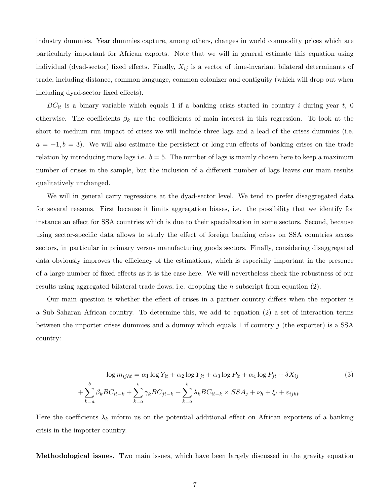industry dummies. Year dummies capture, among others, changes in world commodity prices which are particularly important for African exports. Note that we will in general estimate this equation using individual (dyad-sector) fixed effects. Finally,  $X_{ij}$  is a vector of time-invariant bilateral determinants of trade, including distance, common language, common colonizer and contiguity (which will drop out when including dyad-sector fixed effects).

 $BC_{it}$  is a binary variable which equals 1 if a banking crisis started in country i during year t, 0 otherwise. The coefficients  $\beta_k$  are the coefficients of main interest in this regression. To look at the short to medium run impact of crises we will include three lags and a lead of the crises dummies (i.e.  $a = -1, b = 3$ . We will also estimate the persistent or long-run effects of banking crises on the trade relation by introducing more lags i.e.  $b = 5$ . The number of lags is mainly chosen here to keep a maximum number of crises in the sample, but the inclusion of a different number of lags leaves our main results qualitatively unchanged.

We will in general carry regressions at the dyad-sector level. We tend to prefer disaggregated data for several reasons. First because it limits aggregation biases, i.e. the possibility that we identify for instance an effect for SSA countries which is due to their specialization in some sectors. Second, because using sector-specific data allows to study the effect of foreign banking crises on SSA countries across sectors, in particular in primary versus manufacturing goods sectors. Finally, considering disaggregated data obviously improves the efficiency of the estimations, which is especially important in the presence of a large number of fixed effects as it is the case here. We will nevertheless check the robustness of our results using aggregated bilateral trade flows, i.e. dropping the  $h$  subscript from equation  $(2)$ .

Our main question is whether the effect of crises in a partner country differs when the exporter is a Sub-Saharan African country. To determine this, we add to equation (2) a set of interaction terms between the importer crises dummies and a dummy which equals 1 if country  $j$  (the exporter) is a SSA country:

$$
\log m_{ijht} = \alpha_1 \log Y_{it} + \alpha_2 \log Y_{jt} + \alpha_3 \log P_{it} + \alpha_4 \log P_{jt} + \delta X_{ij}
$$
  
+ 
$$
\sum_{k=a}^{b} \beta_k BC_{it-k} + \sum_{k=a}^{b} \gamma_k BC_{jt-k} + \sum_{k=a}^{b} \lambda_k BC_{it-k} \times SSA_j + \nu_h + \xi_t + \varepsilon_{ijht}
$$
  
(3)

Here the coefficients  $\lambda_k$  inform us on the potential additional effect on African exporters of a banking crisis in the importer country.

Methodological issues. Two main issues, which have been largely discussed in the gravity equation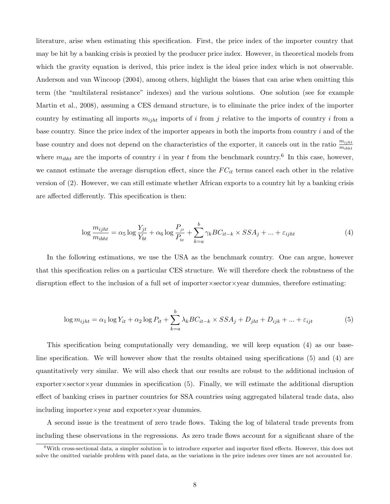literature, arise when estimating this specification. First, the price index of the importer country that may be hit by a banking crisis is proxied by the producer price index. However, in theoretical models from which the gravity equation is derived, this price index is the ideal price index which is not observable. Anderson and van Wincoop (2004), among others, highlight the biases that can arise when omitting this term (the "multilateral resistance" indexes) and the various solutions. One solution (see for example Martin et al., 2008), assuming a CES demand structure, is to eliminate the price index of the importer country by estimating all imports  $m_{i j h t}$  imports of i from j relative to the imports of country i from a base country. Since the price index of the importer appears in both the imports from country i and of the base country and does not depend on the characteristics of the exporter, it cancels out in the ratio  $\frac{m_{ijht}}{m_{ibht}}$ where  $m_{ibht}$  are the imports of country i in year t from the benchmark country.<sup>6</sup> In this case, however, we cannot estimate the average disruption effect, since the  $FC_{it}$  terms cancel each other in the relative version of (2). However, we can still estimate whether African exports to a country hit by a banking crisis are affected differently. This specification is then:

$$
\log \frac{m_{ijht}}{m_{ibht}} = \alpha_5 \log \frac{Y_{jt}}{Y_{bt}} + \alpha_6 \log \frac{P_{jt}}{P_{bt}} + \sum_{k=a}^{b} \gamma_k BC_{it-k} \times SSA_j + \dots + \varepsilon_{ijht}
$$
\n
$$
\tag{4}
$$

In the following estimations, we use the USA as the benchmark country. One can argue, however that this specification relies on a particular CES structure. We will therefore check the robustness of the disruption effect to the inclusion of a full set of importer×sector×year dummies, therefore estimating:

$$
\log m_{ijht} = \alpha_1 \log Y_{it} + \alpha_2 \log P_{it} + \sum_{k=a}^{b} \lambda_k BC_{it-k} \times SSA_j + D_{jht} + D_{ijk} + \dots + \varepsilon_{ijt}
$$
(5)

This specification being computationally very demanding, we will keep equation (4) as our baseline specification. We will however show that the results obtained using specifications (5) and (4) are quantitatively very similar. We will also check that our results are robust to the additional inclusion of exporter×sector×year dummies in specification (5). Finally, we will estimate the additional disruption effect of banking crises in partner countries for SSA countries using aggregated bilateral trade data, also including importer×year and exporter×year dummies.

A second issue is the treatment of zero trade flows. Taking the log of bilateral trade prevents from including these observations in the regressions. As zero trade flows account for a significant share of the

 $6$ With cross-sectional data, a simpler solution is to introduce exporter and importer fixed effects. However, this does not solve the omitted variable problem with panel data, as the variations in the price indexes over times are not accounted for.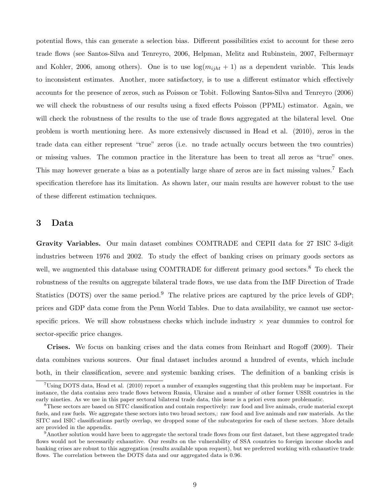potential flows, this can generate a selection bias. Different possibilities exist to account for these zero trade flows (see Santos-Silva and Tenreyro, 2006, Helpman, Melitz and Rubinstein, 2007, Felbermayr and Kohler, 2006, among others). One is to use  $log(m_{i} + 1)$  as a dependent variable. This leads to inconsistent estimates. Another, more satisfactory, is to use a different estimator which effectively accounts for the presence of zeros, such as Poisson or Tobit. Following Santos-Silva and Tenreyro (2006) we will check the robustness of our results using a fixed effects Poisson (PPML) estimator. Again, we will check the robustness of the results to the use of trade flows aggregated at the bilateral level. One problem is worth mentioning here. As more extensively discussed in Head et al. (2010), zeros in the trade data can either represent "true" zeros (i.e. no trade actually occurs between the two countries) or missing values. The common practice in the literature has been to treat all zeros as "true" ones. This may however generate a bias as a potentially large share of zeros are in fact missing values.<sup>7</sup> Each specification therefore has its limitation. As shown later, our main results are however robust to the use of these different estimation techniques.

#### 3 Data

Gravity Variables. Our main dataset combines COMTRADE and CEPII data for 27 ISIC 3-digit industries between 1976 and 2002. To study the effect of banking crises on primary goods sectors as well, we augmented this database using COMTRADE for different primary good sectors.<sup>8</sup> To check the robustness of the results on aggregate bilateral trade flows, we use data from the IMF Direction of Trade Statistics (DOTS) over the same period.<sup>9</sup> The relative prices are captured by the price levels of GDP; prices and GDP data come from the Penn World Tables. Due to data availability, we cannot use sectorspecific prices. We will show robustness checks which include industry  $\times$  year dummies to control for sector-specific price changes.

Crises. We focus on banking crises and the data comes from Reinhart and Rogoff (2009). Their data combines various sources. Our final dataset includes around a hundred of events, which include both, in their classification, severe and systemic banking crises. The definition of a banking crisis is

<sup>7</sup>Using DOTS data, Head et al. (2010) report a number of examples suggesting that this problem may be important. For instance, the data contains zero trade flows between Russia, Ukraine and a number of other former USSR countries in the early nineties. As we use in this paper sectoral bilateral trade data, this issue is a priori even more problematic.

<sup>8</sup>These sectors are based on SITC classification and contain respectively: raw food and live animals, crude material except fuels, and raw fuels. We aggregate these sectors into two broad sectors,: raw food and live animals and raw materials. As the SITC and ISIC classifications partly overlap, we dropped some of the subcategories for each of these sectors. More details are provided in the appendix.

 $9$ Another solution would have been to aggregate the sectoral trade flows from our first dataset, but these aggregated trade flows would not be necessarily exhaustive. Our results on the vulnerability of SSA countries to foreign income shocks and banking crises are robust to this aggregation (results available upon request), but we preferred working with exhaustive trade flows. The correlation between the DOTS data and our aggregated data is 0.96.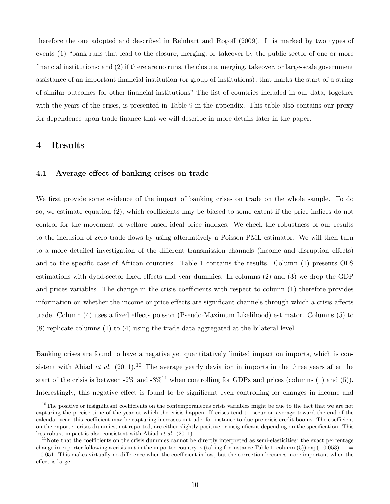therefore the one adopted and described in Reinhart and Rogoff (2009). It is marked by two types of events (1) "bank runs that lead to the closure, merging, or takeover by the public sector of one or more financial institutions; and (2) if there are no runs, the closure, merging, takeover, or large-scale government assistance of an important financial institution (or group of institutions), that marks the start of a string of similar outcomes for other financial institutions" The list of countries included in our data, together with the years of the crises, is presented in Table 9 in the appendix. This table also contains our proxy for dependence upon trade finance that we will describe in more details later in the paper.

#### 4 Results

#### 4.1 Average effect of banking crises on trade

We first provide some evidence of the impact of banking crises on trade on the whole sample. To do so, we estimate equation (2), which coefficients may be biased to some extent if the price indices do not control for the movement of welfare based ideal price indexes. We check the robustness of our results to the inclusion of zero trade flows by using alternatively a Poisson PML estimator. We will then turn to a more detailed investigation of the different transmission channels (income and disruption effects) and to the specific case of African countries. Table 1 contains the results. Column (1) presents OLS estimations with dyad-sector fixed effects and year dummies. In columns (2) and (3) we drop the GDP and prices variables. The change in the crisis coefficients with respect to column (1) therefore provides information on whether the income or price effects are significant channels through which a crisis affects trade. Column (4) uses a fixed effects poisson (Pseudo-Maximum Likelihood) estimator. Columns (5) to (8) replicate columns (1) to (4) using the trade data aggregated at the bilateral level.

Banking crises are found to have a negative yet quantitatively limited impact on imports, which is consistent with Abiad *et al.* (2011).<sup>10</sup> The average yearly deviation in imports in the three years after the start of the crisis is between  $-2\%$  and  $-3\%$ <sup>11</sup> when controlling for GDPs and prices (columns (1) and (5)). Interestingly, this negative effect is found to be significant even controlling for changes in income and

 $10$ The positive or insignificant coefficients on the contemporaneous crisis variables might be due to the fact that we are not capturing the precise time of the year at which the crisis happen. If crises tend to occur on average toward the end of the calendar year, this coefficient may be capturing increases in trade, for instance to due pre-crisis credit booms. The coefficient on the exporter crises dummies, not reported, are either slightly positive or insignificant depending on the specification. This less robust impact is also consistent with Abiad et al. (2011).

 $11$ Note that the coefficients on the crisis dummies cannot be directly interpreted as semi-elasticities: the exact percentage change in exporter following a crisis in t in the importer country is (taking for instance Table 1, column (5)) exp $(-0.053) - 1 =$ −0.051. This makes virtually no difference when the coefficient in low, but the correction becomes more important when the effect is large.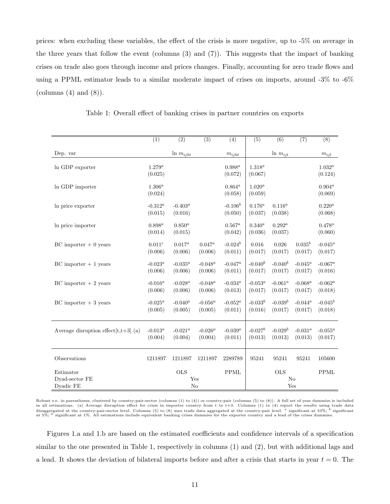prices: when excluding these variables, the effect of the crisis is more negative, up to -5% on average in the three years that follow the event (columns (3) and (7)). This suggests that the impact of banking crises on trade also goes through income and prices changes. Finally, accounting for zero trade flows and using a PPML estimator leads to a similar moderate impact of crises on imports, around -3% to -6% (columns  $(4)$  and  $(8)$ ).

|                                          | $\overline{(1)}$         | $\overline{(2)}$              | $\overline{(3)}$       | $\overline{(4)}$       | $\overline{(5)}$        | $\overline{(6)}$        | $\overline{(7)}$        | $\overline{(8)}$       |
|------------------------------------------|--------------------------|-------------------------------|------------------------|------------------------|-------------------------|-------------------------|-------------------------|------------------------|
| Dep. var                                 |                          | $ln m_{ijht}$                 |                        | $m_{ijht}$             |                         | $\ln m_{ijt}$           |                         | $m_{ijt}$              |
| In GDP exporter                          | $1.279^{a}$<br>(0.025)   |                               |                        | $0.988^a$<br>(0.072)   | $1.318^a$<br>(0.067)    |                         |                         | $1.032^a$<br>(0.124)   |
| In GDP importer                          | $1.306^a$<br>(0.024)     |                               |                        | $0.864^a$<br>(0.058)   | $1.020^a$<br>(0.059)    |                         |                         | $0.904^a$<br>(0.069)   |
| In price exporter                        | $-0.312^a$<br>(0.015)    | $-0.403^a$<br>(0.016)         |                        | $-0.106^b$<br>(0.050)  | $0.176^a$<br>(0.037)    | $0.116^a$<br>(0.038)    |                         | $0.220^{a}$<br>(0.068) |
| In price importer                        | $0.898^a$<br>(0.014)     | $0.850^{a}$<br>(0.015)        |                        | $0.567^a$<br>(0.042)   | $0.340^{a}$<br>(0.036)  | $0.292^a$<br>(0.037)    |                         | $0.478^a$<br>(0.060)   |
| $BC$ importer $+0$ years                 | $0.011^{c}$<br>(0.006)   | $0.017^a$<br>(0.006)          | $0.047^a$<br>(0.006)   | $-0.024^b$<br>(0.011)  | 0.016<br>(0.017)        | 0.026<br>(0.017)        | $0.035^b$<br>(0.017)    | $-0.045^a$<br>(0.017)  |
| $BC$ importer $+1$ years                 | -0.023 $^a$<br>(0.006)   | -0.035 $^a$<br>(0.006)        | $-0.048^a$<br>(0.006)  | $-0.047^a$<br>(0.011)  | $-0.040^b$<br>(0.017)   | $-0.040^b$<br>(0.017)   | $-0.045^a$<br>(0.017)   | $-0.067^a$<br>(0.016)  |
| $BC$ importer $+2$ years                 | $-0.016^a$<br>(0.006)    | $-0.028^a$<br>(0.006)         | $-0.048^a$<br>(0.006)  | -0.034 $^a$<br>(0.013) | -0.053 $^a$<br>(0.017)  | $-0.061^a$<br>(0.017)   | $-0.068^a$<br>(0.017)   | $-0.062^a$<br>(0.018)  |
| $BC$ importer $+3$ years                 | -0.025 $^a\!$<br>(0.005) | $-0.040^a$<br>(0.005)         | -0.056 $^a$<br>(0.005) | $-0.052^a$<br>(0.011)  | $-0.033^{b}$<br>(0.016) | $-0.039^{b}$<br>(0.017) | $-0.044^a$<br>(0.017)   | $-0.045^b$<br>(0.018)  |
| Average disruption effect $[t, t+3]$ (a) | -0.013 $^a$<br>(0.004)   | $-0.021^{a}$<br>(0.004)       | $-0.026^a$<br>(0.004)  | -0.039 $^a$<br>(0.011) | $-0.027^b$<br>(0.013)   | $-0.029^b$<br>(0.013)   | $-0.031^{a}$<br>(0.013) | $-0.055^a$<br>(0.017)  |
| Observations                             | 1211897                  | 1211897                       | 1211897                | 2289789                | 95241                   | 95241                   | 95241                   | 105600                 |
| Estimator<br>Dyad-sector FE<br>Dyadic FE |                          | <b>OLS</b><br>Yes<br>$\rm No$ |                        | <b>PPML</b>            |                         | <b>OLS</b>              | $\rm No$<br>Yes         | <b>PPML</b>            |

Table 1: Overall effect of banking crises in partner countries on exports

Robust s.e. in parentheses, clustered by country-pair-sector (columns (1) to (4)) or country-pair (columns (5) to (8)). A full set of year dummies is included<br>in all estimations. (a) Average disruption effect for crisis in at 5%; <sup>a</sup> significant at 1%. All estimations include equivalent banking crises dummies for the exporter country and a lead of the crises dummies.

Figures 1.a and 1.b are based on the estimated coefficients and confidence intervals of a specification similar to the one presented in Table 1, respectively in columns (1) and (2), but with additional lags and a lead. It shows the deviation of bilateral imports before and after a crisis that starts in year  $t = 0$ . The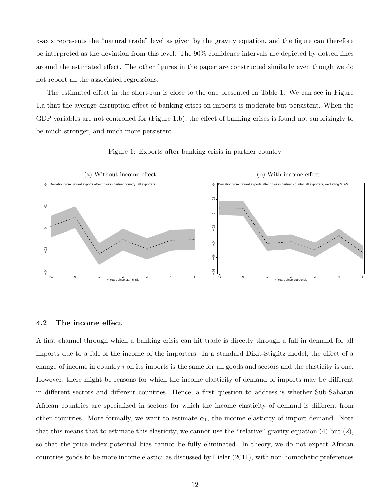x-axis represents the "natural trade" level as given by the gravity equation, and the figure can therefore be interpreted as the deviation from this level. The 90% confidence intervals are depicted by dotted lines around the estimated effect. The other figures in the paper are constructed similarly even though we do not report all the associated regressions.

The estimated effect in the short-run is close to the one presented in Table 1. We can see in Figure 1.a that the average disruption effect of banking crises on imports is moderate but persistent. When the GDP variables are not controlled for (Figure 1.b), the effect of banking crises is found not surprisingly to be much stronger, and much more persistent.



Figure 1: Exports after banking crisis in partner country

#### 4.2 The income effect

A first channel through which a banking crisis can hit trade is directly through a fall in demand for all imports due to a fall of the income of the importers. In a standard Dixit-Stiglitz model, the effect of a change of income in country  $i$  on its imports is the same for all goods and sectors and the elasticity is one. However, there might be reasons for which the income elasticity of demand of imports may be different in different sectors and different countries. Hence, a first question to address is whether Sub-Saharan African countries are specialized in sectors for which the income elasticity of demand is different from other countries. More formally, we want to estimate  $\alpha_1$ , the income elasticity of import demand. Note that this means that to estimate this elasticity, we cannot use the "relative" gravity equation (4) but (2), so that the price index potential bias cannot be fully eliminated. In theory, we do not expect African countries goods to be more income elastic: as discussed by Fieler (2011), with non-homothetic preferences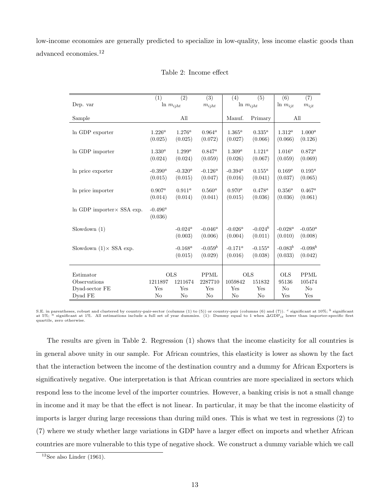low-income economies are generally predicted to specialize in low-quality, less income elastic goods than advanced economies.<sup>12</sup>

|                                   | (1)          | (2)            | (3)           | (4)         | (5)            | (6)           | (7)            |
|-----------------------------------|--------------|----------------|---------------|-------------|----------------|---------------|----------------|
| Dep. var                          |              | $\ln m_{ijht}$ | $m_{i j h t}$ |             | $\ln m_{ijht}$ | $\ln m_{ijt}$ | $m_{ijt}$      |
|                                   |              |                |               |             |                |               |                |
| Sample                            |              | All            |               | Manuf.      | Primary        | All           |                |
| In GDP exporter                   | $1.226^a$    | $1.276^{a}$    | $0.964^a$     | $1.365^a$   | $0.335^{a}$    | $1.312^{a}$   | $1.000^a$      |
|                                   | (0.025)      | (0.025)        | (0.072)       | (0.027)     | (0.066)        | (0.066)       | (0.126)        |
|                                   |              |                |               |             |                |               |                |
| In GDP importer                   | $1.330^{a}$  | $1.299^a$      | $0.847^a$     | $1.309^{a}$ | $1.121^{a}$    | $1.016^{a}$   | $0.872^a$      |
|                                   | (0.024)      | (0.024)        | (0.059)       | (0.026)     | (0.067)        | (0.059)       | (0.069)        |
| In price exporter                 | $-0.390^{a}$ | $-0.320^{a}$   | $-0.126^a$    | $-0.394^a$  | $0.155^a$      | $0.169^a$     | $0.195^{a}$    |
|                                   | (0.015)      | (0.015)        | (0.047)       | (0.016)     | (0.041)        | (0.037)       |                |
|                                   |              |                |               |             |                |               | (0.065)        |
| In price importer                 | $0.907^a$    | $0.911^a$      | $0.560^{a}$   | $0.970^a$   | $0.478^a$      | $0.356^{a}$   | $0.467^a$      |
|                                   | (0.014)      | (0.014)        | (0.041)       | (0.015)     | (0.036)        | (0.036)       | (0.061)        |
| In GDP importer $\times$ SSA exp. | $-0.496^a$   |                |               |             |                |               |                |
|                                   | (0.036)      |                |               |             |                |               |                |
|                                   |              |                |               |             |                |               |                |
| Slowdown $(1)$                    |              | $-0.024^a$     | $-0.046^a$    | $-0.026^a$  | $-0.024^b$     | $-0.028^a$    | $-0.050^a$     |
|                                   |              | (0.003)        | (0.006)       | (0.004)     | (0.011)        | (0.010)       | (0.008)        |
| Slowdown $(1) \times$ SSA exp.    |              | $-0.168^a$     | $-0.059^b$    | $-0.171^a$  | $-0.155^a$     | $-0.083^b$    | $-0.098^b$     |
|                                   |              | (0.015)        | (0.029)       | (0.016)     | (0.038)        | (0.033)       | (0.042)        |
|                                   |              |                |               |             |                |               |                |
|                                   |              |                |               |             |                |               |                |
| Estimator                         |              | <b>OLS</b>     | <b>PPML</b>   |             | <b>OLS</b>     | <b>OLS</b>    | <b>PPML</b>    |
| Observations                      | 1211897      | 1211674        | 2287710       | 1059842     | 151832         | 95136         | 105474         |
| Dyad-sector FE                    | Yes          | Yes            | Yes           | Yes         | Yes            | $\rm No$      | N <sub>o</sub> |
| Dyad FE                           | No           | No             | No            | No          | No             | Yes           | Yes            |

Table 2: Income effect

S.E. in parentheses, robust and clustered by country-pair-sector (columns (1) to (5)) or country-pair (columns (6) and (7)). <sup>c</sup> significant at 10%; <sup>b</sup> significant at 1%. All estimations include a full set of year dummies quartile, zero otherwise.

The results are given in Table 2. Regression (1) shows that the income elasticity for all countries is in general above unity in our sample. For African countries, this elasticity is lower as shown by the fact that the interaction between the income of the destination country and a dummy for African Exporters is significatively negative. One interpretation is that African countries are more specialized in sectors which respond less to the income level of the importer countries. However, a banking crisis is not a small change in income and it may be that the effect is not linear. In particular, it may be that the income elasticity of imports is larger during large recessions than during mild ones. This is what we test in regressions (2) to (7) where we study whether large variations in GDP have a larger effect on imports and whether African countries are more vulnerable to this type of negative shock. We construct a dummy variable which we call

 $^{12}\mathrm{See}$  also Linder (1961).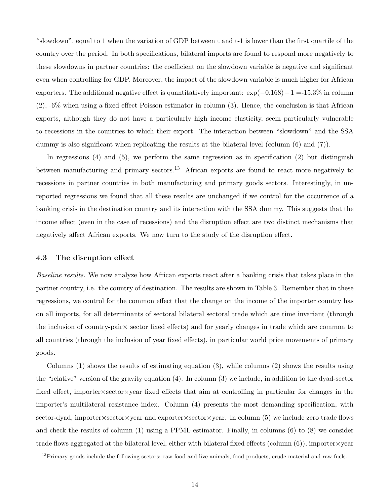"slowdown", equal to 1 when the variation of GDP between t and t-1 is lower than the first quartile of the country over the period. In both specifications, bilateral imports are found to respond more negatively to these slowdowns in partner countries: the coefficient on the slowdown variable is negative and significant even when controlling for GDP. Moreover, the impact of the slowdown variable is much higher for African exporters. The additional negative effect is quantitatively important:  $\exp(-0.168) - 1 = -15.3\%$  in column (2), -6% when using a fixed effect Poisson estimator in column (3). Hence, the conclusion is that African exports, although they do not have a particularly high income elasticity, seem particularly vulnerable to recessions in the countries to which their export. The interaction between "slowdown" and the SSA dummy is also significant when replicating the results at the bilateral level (column (6) and (7)).

In regressions (4) and (5), we perform the same regression as in specification (2) but distinguish between manufacturing and primary sectors.<sup>13</sup> African exports are found to react more negatively to recessions in partner countries in both manufacturing and primary goods sectors. Interestingly, in unreported regressions we found that all these results are unchanged if we control for the occurrence of a banking crisis in the destination country and its interaction with the SSA dummy. This suggests that the income effect (even in the case of recessions) and the disruption effect are two distinct mechanisms that negatively affect African exports. We now turn to the study of the disruption effect.

#### 4.3 The disruption effect

Baseline results. We now analyze how African exports react after a banking crisis that takes place in the partner country, i.e. the country of destination. The results are shown in Table 3. Remember that in these regressions, we control for the common effect that the change on the income of the importer country has on all imports, for all determinants of sectoral bilateral sectoral trade which are time invariant (through the inclusion of country-pair× sector fixed effects) and for yearly changes in trade which are common to all countries (through the inclusion of year fixed effects), in particular world price movements of primary goods.

Columns  $(1)$  shows the results of estimating equation  $(3)$ , while columns  $(2)$  shows the results using the "relative" version of the gravity equation (4). In column (3) we include, in addition to the dyad-sector fixed effect, importer×sector×year fixed effects that aim at controlling in particular for changes in the importer's multilateral resistance index. Column (4) presents the most demanding specification, with sector-dyad, importer×sector×year and exporter×sector×year. In column (5) we include zero trade flows and check the results of column (1) using a PPML estimator. Finally, in columns (6) to (8) we consider trade flows aggregated at the bilateral level, either with bilateral fixed effects (column  $(6)$ ), importer  $\times$ year

 $13$ Primary goods include the following sectors: raw food and live animals, food products, crude material and raw fuels.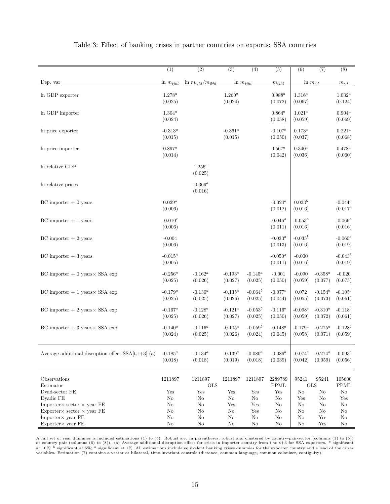|                                                       | $\overline{(1)}$        | $\overline{(2)}$        | $\overline{(3)}$             | $\overline{(4)}$        | $\overline{(5)}$       | $\overline{(6)}$        | $\overline{(7)}$        | $\overline{(8)}$             |
|-------------------------------------------------------|-------------------------|-------------------------|------------------------------|-------------------------|------------------------|-------------------------|-------------------------|------------------------------|
| Dep. var                                              | $\ln m_{ijht}$          | $\ln m_{ijht}/m_{ibht}$ |                              | $\ln m_{ijht}$          | $m_{ijht}$             |                         | $\ln m_{ijt}$           | $m_{ijt}$                    |
| In GDP exporter                                       | $1.278^{a}$<br>(0.025)  |                         | $1.260^a$<br>(0.024)         |                         | $0.988^a$<br>(0.072)   | $1.316^{a}$<br>(0.067)  |                         | $1.032^a$<br>(0.124)         |
| $\ln$ GDP importer                                    | $1.304^{a}$<br>(0.024)  |                         |                              |                         | $0.864^a$<br>(0.058)   | $1.021^a$<br>(0.059)    |                         | $0.904^a$<br>(0.069)         |
| In price exporter                                     | $-0.313^{a}$<br>(0.015) |                         | $-0.361^a$<br>(0.015)        |                         | $-0.107^b$<br>(0.050)  | $0.173^{a}$<br>(0.037)  |                         | $0.221^a$<br>(0.068)         |
| In price importer                                     | $0.897^a$<br>(0.014)    |                         |                              |                         | $0.567^a$<br>(0.042)   | $0.340^{a}$<br>(0.036)  |                         | $0.478^{a}$<br>(0.060)       |
| In relative GDP                                       |                         | $1.256^a$<br>(0.025)    |                              |                         |                        |                         |                         |                              |
| In relative prices                                    |                         | $-0.369^{a}$<br>(0.016) |                              |                         |                        |                         |                         |                              |
| $BC$ importer $+0$ years                              | $0.029^{a}$<br>(0.006)  |                         |                              |                         | $-0.024^b$<br>(0.012)  | $0.033^{b}$<br>(0.016)  |                         | $-0.044^a$<br>(0.017)        |
| $BC importer + 1 years$                               | $-0.010^{c}$<br>(0.006) |                         |                              |                         | $-0.046^a$<br>(0.011)  | $-0.053^a$<br>(0.016)   |                         | $-0.066^a$<br>(0.016)        |
| $BC$ importer $+2$ years                              | $-0.004$<br>(0.006)     |                         |                              |                         | -0.033 $^a$<br>(0.013) | $-0.035^b$<br>(0.016)   |                         | $-0.060^a$<br>(0.019)        |
| $BC$ importer $+3$ years                              | $-0.015^a$<br>(0.005)   |                         |                              |                         | $-0.050^a$<br>(0.011)  | $-0.000$<br>(0.016)     |                         | $-0.043^b$<br>(0.019)        |
| $BC$ importer $+ 0$ years $\times$ SSA exp.           | $-0.256^a$<br>(0.025)   | $-0.162^a$<br>(0.026)   | $-0.193^a$<br>(0.027)        | $-0.145^a$<br>(0.025)   | $-0.001$<br>(0.050)    | $-0.090$<br>(0.059)     | $-0.358^{a}$<br>(0.077) | $-0.020$<br>(0.075)          |
| $BC$ importer $+1$ years $\times$ SSA exp.            | $-0.179^a$<br>(0.025)   | $-0.130^{a}$<br>(0.025) | $-0.135^a$<br>(0.026)        | $-0.064^b$<br>(0.025)   | $-0.077^c$<br>(0.044)  | 0.072<br>(0.055)        | $-0.154^b$<br>(0.073)   | $-0.105^{c}$<br>(0.061)      |
| BC importer $+2$ years $\times$ SSA exp.              | $-0.167^a$<br>(0.025)   | $-0.128^a$<br>(0.026)   | $\text{-}0.121^a$<br>(0.027) | $-0.053^b$<br>(0.025)   | $-0.116^b$<br>(0.050)  | $-0.098c$<br>(0.059)    | $-0.310^{a}$<br>(0.072) | $-0.118c$<br>(0.061)         |
| BC importer $+3$ years $\times$ SSA exp.              | $-0.140^a$<br>(0.024)   | $-0.116^a$<br>(0.025)   | -0.105 $^a$<br>(0.026)       | $-0.059^b$<br>(0.024)   | $-0.148^a$<br>(0.045)  | $-0.179^{a}$<br>(0.058) | $-0.275^a$<br>(0.071)   | $-0.128^b$<br>(0.059)        |
| Average additional disruption effect $SSA[t,t+3]$ (a) | -0.185 $^a$<br>(0.018)  | $-0.134^{a}$<br>(0.018) | -0.139 $^a$<br>(0.019)       | $-0.080^{a}$<br>(0.018) | $-0.086^b$<br>(0.039)  | $-0.074c$<br>(0.042)    | $-0.274^a$<br>(0.059)   | -0.093 $^{\circ}$<br>(0.056) |
| Observations<br>Estimator                             | 1211897                 | 1211897<br>OLS          | 1211897                      | 1211897                 | 2289789<br><b>PPML</b> | 95241                   | 95241<br><b>OLS</b>     | 105600<br><b>PPML</b>        |
| Dyad-sector FE                                        | Yes                     | Yes                     | Yes                          | Yes                     | Yes                    | No                      | N <sub>o</sub>          | No                           |
| Dyadic FE                                             | N <sub>o</sub>          | N <sub>o</sub>          | $\rm No$                     | No                      | No                     | Yes                     | N <sub>o</sub>          | Yes                          |
| Importer $\times$ sector $\times$ year FE             | No                      | No                      | Yes                          | Yes                     | No                     | No                      | No                      | No                           |
| Exporter $\times$ sector $\times$ year FE             | N <sub>o</sub>          | N <sub>o</sub>          | $\rm No$                     | Yes                     | No                     | No                      | N <sub>o</sub>          | No                           |
| Importer× year FE                                     | N <sub>o</sub>          | N <sub>o</sub>          | No                           | No                      | No                     | No                      | Yes                     | No                           |
| Exporter× year FE                                     | N <sub>o</sub>          | No                      | No                           | No                      | No                     | No                      | Yes                     | N <sub>o</sub>               |

#### Table 3: Effect of banking crises in partner countries on exports: SSA countries

A full set of year dummies is included estimations (1) to (5). Robust s.e. in parentheses, robust and clustered by country-pair-sector (columns (1) to (5))<br>or country-pair (columns (6) to (8)). (a) Average additional disr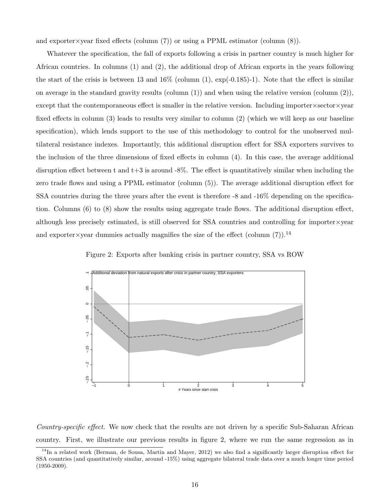and exporter×year fixed effects (column  $(7)$ ) or using a PPML estimator (column  $(8)$ ).

Whatever the specification, the fall of exports following a crisis in partner country is much higher for African countries. In columns (1) and (2), the additional drop of African exports in the years following the start of the crisis is between 13 and  $16\%$  (column (1),  $\exp(-0.185)$ -1). Note that the effect is similar on average in the standard gravity results (column  $(1)$ ) and when using the relative version (column  $(2)$ ), except that the contemporaneous effect is smaller in the relative version. Including importer×sector×year fixed effects in column (3) leads to results very similar to column (2) (which we will keep as our baseline specification), which lends support to the use of this methodology to control for the unobserved multilateral resistance indexes. Importantly, this additional disruption effect for SSA exporters survives to the inclusion of the three dimensions of fixed effects in column (4). In this case, the average additional disruption effect between t and  $t+3$  is around  $-8\%$ . The effect is quantitatively similar when including the zero trade flows and using a PPML estimator (column (5)). The average additional disruption effect for SSA countries during the three years after the event is therefore -8 and -16% depending on the specification. Columns (6) to (8) show the results using aggregate trade flows. The additional disruption effect, although less precisely estimated, is still observed for SSA countries and controlling for importer $\times$ year and exporter×year dummies actually magnifies the size of the effect (column  $(7)$ ).<sup>14</sup>





Country-specific effect. We now check that the results are not driven by a specific Sub-Saharan African country. First, we illustrate our previous results in figure 2, where we run the same regression as in

 $14$ In a related work (Berman, de Sousa, Martin and Mayer, 2012) we also find a significantly larger disruption effect for SSA countries (and quantitatively similar, around -15%) using aggregate bilateral trade data over a much longer time period (1950-2009).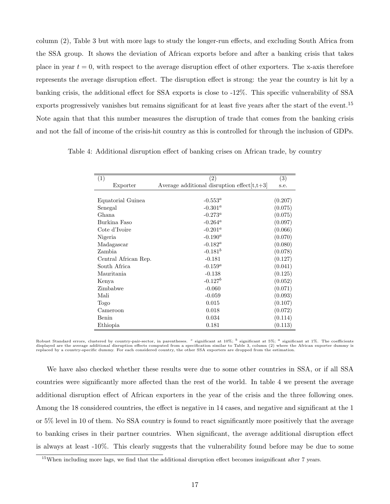column (2), Table 3 but with more lags to study the longer-run effects, and excluding South Africa from the SSA group. It shows the deviation of African exports before and after a banking crisis that takes place in year  $t = 0$ , with respect to the average disruption effect of other exporters. The x-axis therefore represents the average disruption effect. The disruption effect is strong: the year the country is hit by a banking crisis, the additional effect for SSA exports is close to -12%. This specific vulnerability of SSA exports progressively vanishes but remains significant for at least five years after the start of the event.<sup>15</sup> Note again that that this number measures the disruption of trade that comes from the banking crisis and not the fall of income of the crisis-hit country as this is controlled for through the inclusion of GDPs.

Table 4: Additional disruption effect of banking crises on African trade, by country

| (1)                  | (2)                                             | (3)     |
|----------------------|-------------------------------------------------|---------|
| Exporter             | Average additional disruption effect $[t, t+3]$ | s.e.    |
|                      |                                                 |         |
| Equatorial Guinea    | $-0.553^a$                                      | (0.207) |
| Senegal              | $-0.301^a$                                      | (0.075) |
| Ghana                | $-0.273^a$                                      | (0.075) |
| Burkina Faso         | $-0.264^a$                                      | (0.097) |
| Cote d'Ivoire        | $-0.201^a$                                      | (0.066) |
| Nigeria              | $-0.190^a$                                      | (0.070) |
| Madagascar           | $-0.182^a$                                      | (0.080) |
| Zambia               | $-0.181^{b}$                                    | (0.078) |
| Central African Rep. | $-0.181$                                        | (0.127) |
| South Africa         | $-0.159^a$                                      | (0.041) |
| Mauritania           | $-0.138$                                        | (0.125) |
| Kenya                | $-0.127^b$                                      | (0.052) |
| Zimbabwe             | $-0.060$                                        | (0.071) |
| Mali                 | $-0.059$                                        | (0.093) |
| Togo                 | 0.015                                           | (0.107) |
| Cameroon             | 0.018                                           | (0.072) |
| Benin                | 0.034                                           | (0.114) |
| Ethiopia             | 0.181                                           | (0.113) |

Robust Standard errors, clustered by country-pair-sector, in parentheses.  $c$  significant at  $10\%$ ;  $^b$  significant at  $5\%$ ;  $^a$  significant at  $1\%$ . The coefficients displayed are the average additional disruption effects computed from a specification similar to Table 3, column (2) where the African exporter dummy is<br>replaced by a country-specific dummy. For each considered country, th

We have also checked whether these results were due to some other countries in SSA, or if all SSA countries were significantly more affected than the rest of the world. In table 4 we present the average additional disruption effect of African exporters in the year of the crisis and the three following ones. Among the 18 considered countries, the effect is negative in 14 cases, and negative and significant at the 1 or 5% level in 10 of them. No SSA country is found to react significantly more positively that the average to banking crises in their partner countries. When significant, the average additional disruption effect is always at least -10%. This clearly suggests that the vulnerability found before may be due to some

<sup>&</sup>lt;sup>15</sup>When including more lags, we find that the additional disruption effect becomes insignificant after 7 years.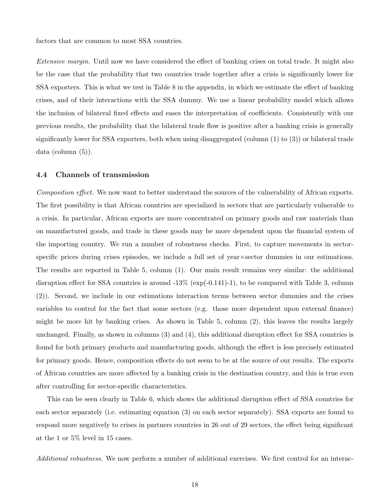factors that are common to most SSA countries.

Extensive margin. Until now we have considered the effect of banking crises on total trade. It might also be the case that the probability that two countries trade together after a crisis is significantly lower for SSA exporters. This is what we test in Table 8 in the appendix, in which we estimate the effect of banking crises, and of their interactions with the SSA dummy. We use a linear probability model which allows the inclusion of bilateral fixed effects and eases the interpretation of coefficients. Consistently with our previous results, the probability that the bilateral trade flow is positive after a banking crisis is generally significantly lower for SSA exporters, both when using disaggregated (column (1) to (3)) or bilateral trade data (column (5)).

#### 4.4 Channels of transmission

Composition effect. We now want to better understand the sources of the vulnerability of African exports. The first possibility is that African countries are specialized in sectors that are particularly vulnerable to a crisis. In particular, African exports are more concentrated on primary goods and raw materials than on manufactured goods, and trade in these goods may be more dependent upon the financial system of the importing country. We run a number of robustness checks. First, to capture movements in sectorspecific prices during crises episodes, we include a full set of year×sector dummies in our estimations. The results are reported in Table 5, column (1). Our main result remains very similar: the additional disruption effect for SSA countries is around  $-13\%$  (exp( $-0.141$ ) $-1$ ), to be compared with Table 3, column (2)). Second, we include in our estimations interaction terms between sector dummies and the crises variables to control for the fact that some sectors (e.g. those more dependent upon external finance) might be more hit by banking crises. As shown in Table 5, column (2), this leaves the results largely unchanged. Finally, as shown in columns  $(3)$  and  $(4)$ , this additional disruption effect for SSA countries is found for both primary products and manufacturing goods, although the effect is less precisely estimated for primary goods. Hence, composition effects do not seem to be at the source of our results. The exports of African countries are more affected by a banking crisis in the destination country, and this is true even after controlling for sector-specific characteristics.

This can be seen clearly in Table 6, which shows the additional disruption effect of SSA countries for each sector separately (i.e. estimating equation (3) on each sector separately). SSA exports are found to respond more negatively to crises in partners countries in 26 out of 29 sectors, the effect being significant at the 1 or 5% level in 15 cases.

Additional robustness. We now perform a number of additional exercises. We first control for an interac-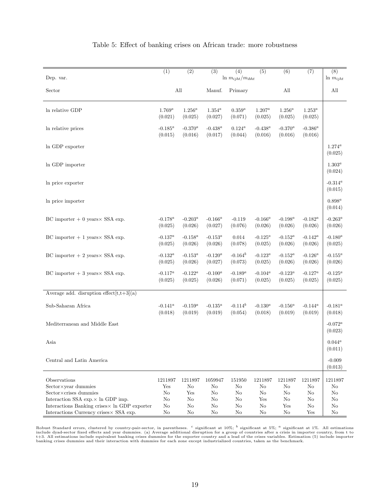|                                                      | $\overline{(1)}$ | $\overline{(2)}$ |             |                                | $\overline{(5)}$  |                | $\overline{(7)}$                | $\overline{(8)}$  |
|------------------------------------------------------|------------------|------------------|-------------|--------------------------------|-------------------|----------------|---------------------------------|-------------------|
| Dep. var.                                            |                  |                  | (3)         | (4)<br>$\ln m_{ijht}/m_{ibht}$ |                   | (6)            |                                 | $ln m_{ijht}$     |
|                                                      |                  |                  |             |                                |                   |                |                                 |                   |
| Sector                                               |                  | All              | Manuf.      | Primary                        |                   | All            |                                 | All               |
|                                                      |                  |                  |             |                                |                   |                |                                 |                   |
| In relative GDP                                      | $1.769^{a}$      | $1.256^a$        | $1.354^a$   | $0.359^{a}$                    | $1.207^a$         | $1.256^a$      | $1.253^a$                       |                   |
|                                                      | (0.021)          | (0.025)          | (0.027)     | (0.071)                        | (0.025)           | (0.025)        | (0.025)                         |                   |
|                                                      |                  |                  |             |                                |                   |                |                                 |                   |
| In relative prices                                   | -0.185 $^a$      | $-0.370^a$       | -0.438 $^a$ | $0.124^a$                      | -0.438 $^a$       | $-0.370^{a}$   | -0.386 $\ensuremath{^a}\xspace$ |                   |
|                                                      | (0.015)          | (0.016)          | (0.017)     | (0.044)                        | (0.016)           | (0.016)        | (0.016)                         |                   |
| In GDP exporter                                      |                  |                  |             |                                |                   |                |                                 | $1.274^{a}$       |
|                                                      |                  |                  |             |                                |                   |                |                                 | (0.025)           |
|                                                      |                  |                  |             |                                |                   |                |                                 |                   |
| In GDP importer                                      |                  |                  |             |                                |                   |                |                                 | $1.303^{a}$       |
|                                                      |                  |                  |             |                                |                   |                |                                 | (0.024)           |
|                                                      |                  |                  |             |                                |                   |                |                                 |                   |
| In price exporter                                    |                  |                  |             |                                |                   |                |                                 | $-0.314^{a}$      |
|                                                      |                  |                  |             |                                |                   |                |                                 | (0.015)           |
| In price importer                                    |                  |                  |             |                                |                   |                |                                 | $0.898^a$         |
|                                                      |                  |                  |             |                                |                   |                |                                 | (0.014)           |
|                                                      |                  |                  |             |                                |                   |                |                                 |                   |
| BC importer $+$ 0 years $\times$ SSA exp.            | $-0.178^a$       | $-0.203^a$       | $-0.166^a$  | $-0.119$                       | $-0.166^a$        | $-0.198^a$     | $-0.182^a$                      | -0.263 $^a$       |
|                                                      | (0.025)          | (0.026)          | (0.027)     | (0.076)                        | (0.026)           | (0.026)        | (0.026)                         | (0.026)           |
| BC importer $+1$ years $\times$ SSA exp.             | $-0.137^a$       | $-0.158^a$       | $-0.153^a$  | $0.014\,$                      | $-0.125^a$        | $-0.152^a$     | -0.142 $^a$                     | $-0.180^{a}$      |
|                                                      | (0.025)          | (0.026)          | (0.026)     | (0.078)                        | (0.025)           | (0.026)        | (0.026)                         | (0.025)           |
|                                                      |                  |                  |             |                                |                   |                |                                 |                   |
| BC importer $+2$ years $\times$ SSA exp.             | $-0.132^{a}$     | $-0.153^a$       | $-0.120^a$  | $-0.164^b$                     | $-0.123^a$        | $-0.152^a$     | -0.126 $^a$                     | $-0.155^a$        |
|                                                      | (0.025)          | (0.026)          | (0.027)     | (0.073)                        | (0.025)           | (0.026)        | (0.026)                         | (0.026)           |
| BC importer $+3$ years $\times$ SSA exp.             | $-0.117^a$       | $-0.122^a$       | $-0.100^a$  | -0.189 $^a$                    | $\text{-}0.104^a$ | $-0.123^a$     | $-0.127^a$                      | $\text{-}0.125^a$ |
|                                                      | (0.025)          | (0.025)          | (0.026)     | (0.071)                        | (0.025)           | (0.025)        | (0.025)                         | (0.025)           |
|                                                      |                  |                  |             |                                |                   |                |                                 |                   |
| Average add. disruption effect $[t, t+3](a)$         |                  |                  |             |                                |                   |                |                                 |                   |
|                                                      |                  |                  |             |                                |                   |                |                                 |                   |
| Sub-Saharan Africa                                   | $-0.141^a$       | $-0.159^{a}$     | -0.135 $^a$ | $-0.114^{b}$                   | $-0.130^{a}$      | $-0.156^a$     | -0.144 $\ensuremath{^a}\xspace$ | $-0.181^{a}$      |
|                                                      | (0.018)          | (0.019)          | (0.019)     | (0.054)                        | (0.018)           | (0.019)        | (0.019)                         | (0.018)           |
| Mediterranean and Middle East                        |                  |                  |             |                                |                   |                |                                 | -0.072 $^a$       |
|                                                      |                  |                  |             |                                |                   |                |                                 | (0.023)           |
|                                                      |                  |                  |             |                                |                   |                |                                 |                   |
| Asia                                                 |                  |                  |             |                                |                   |                |                                 | $0.044^a$         |
|                                                      |                  |                  |             |                                |                   |                |                                 | (0.011)           |
|                                                      |                  |                  |             |                                |                   |                |                                 |                   |
| Central and Latin America                            |                  |                  |             |                                |                   |                |                                 | $-0.009$          |
|                                                      |                  |                  |             |                                |                   |                |                                 | (0.013)           |
| Observations                                         | 1211897          | 1211897          | 1059947     | 151950                         | 1211897           | 1211897        | 1211897                         | 1211897           |
| Sector×year dummies                                  | Yes              | N <sub>o</sub>   | No          | N <sub>o</sub>                 | N <sub>o</sub>    | N <sub>o</sub> | No                              | No                |
| Sector×crises dummies                                | N <sub>o</sub>   | Yes              | No          | No                             | N <sub>o</sub>    | N <sub>o</sub> | No                              | No                |
| Interaction SSA $\exp x \ln$ GDP imp.                | No               | No               | No          | No                             | Yes               | No             | No                              | No                |
| Interactions Banking crises $\times$ ln GDP exporter | No               | N <sub>o</sub>   | No          | N <sub>o</sub>                 | $\rm No$          | Yes            | No                              | No                |
| Interactions Currency crises × SSA exp.              | N <sub>o</sub>   | No               | No          | No                             | $\rm No$          | No             | Yes                             | N <sub>o</sub>    |

#### Table 5: Effect of banking crises on African trade: more robustness

Robust Standard errors, clustered by country-pair-sector, in parentheses.  $\degree$  significant at 10%;  $\frac{b}{c}$  significant at 5%;  $\frac{a}{c}$  significant at 1%. All estimations include dyad-sector fixed effects and year dummi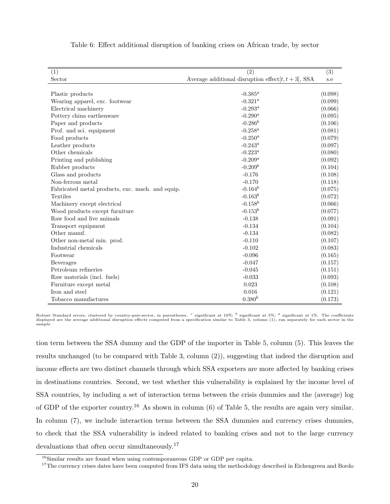| (1)                                              | (2)                                                   | $\overline{(3)}$ |
|--------------------------------------------------|-------------------------------------------------------|------------------|
| Sector                                           | Average additional disruption effect $[t, t+3]$ , SSA | s.e              |
|                                                  |                                                       |                  |
| Plastic products                                 | $-0.385^a$                                            | (0.098)          |
| Wearing apparel, exc. footwear                   | $-0.321^a$                                            | (0.099)          |
| Electrical machinery                             | $-0.293^a$                                            | (0.066)          |
| Pottery china earthenware                        | $-0.290^a$                                            | (0.095)          |
| Paper and products                               | $-0.286^b$                                            | (0.106)          |
| Prof. and sci. equipment                         | $-0.258^a$                                            | (0.081)          |
| Food products                                    | $-0.250^a$                                            | (0.079)          |
| Leather products                                 | $-0.243^a$                                            | (0.097)          |
| Other chemicals                                  | $-0.223^a$                                            | (0.080)          |
| Printing and publishing                          | $-0.209^a$                                            | (0.092)          |
| Rubber products                                  | $-0.209^b$                                            | (0.104)          |
| Glass and products                               | $-0.176$                                              | (0.108)          |
| Non-ferrous metal                                | $-0.170$                                              | (0.118)          |
| Fabricated metal products, exc. mach. and equip. | $-0.164^b$                                            | (0.075)          |
| <b>Textiles</b>                                  | $-0.163^b$                                            | (0.072)          |
| Machinery except electrical                      | $-0.158^{b}$                                          | (0.066)          |
| Wood products except furniture                   | $-0.153^b$                                            | (0.077)          |
| Raw food and live animals                        | $-0.138$                                              | (0.091)          |
| Transport equipment                              | $-0.134$                                              | (0.104)          |
| Other manuf.                                     | $-0.134$                                              | (0.082)          |
| Other non-metal min. prod.                       | $-0.110$                                              | (0.107)          |
| Industrial chemicals                             | $-0.102$                                              | (0.083)          |
| Footwear                                         | $-0.096$                                              | (0.165)          |
| <b>Beverages</b>                                 | $-0.047$                                              | (0.157)          |
| Petroleum refineries                             | $-0.045$                                              | (0.151)          |
| Raw materials (incl. fuels)                      | $-0.033$                                              | (0.093)          |
| Furniture except metal                           | 0.023                                                 | (0.108)          |
| Iron and steel                                   | 0.016                                                 | (0.121)          |
| Tobacco manufactures                             | $0.380^{b}$                                           | (0.173)          |

Table 6: Effect additional disruption of banking crises on African trade, by sector

Robust Standard errors, clustered by country-pair-sector, in parentheses. <sup>c</sup> significant at 10%; <sup>b</sup> significant at 5%; <sup>a</sup> significant at 1%. The coefficients<br>displayed are the average additional disruption effects compu sample.

tion term between the SSA dummy and the GDP of the importer in Table 5, column (5). This leaves the results unchanged (to be compared with Table 3, column (2)), suggesting that indeed the disruption and income effects are two distinct channels through which SSA exporters are more affected by banking crises in destinations countries. Second, we test whether this vulnerability is explained by the income level of SSA countries, by including a set of interaction terms between the crisis dummies and the (average) log of GDP of the exporter country.<sup>16</sup> As shown in column (6) of Table 5, the results are again very similar. In column  $(7)$ , we include interaction terms between the SSA dummies and currency crises dummies, to check that the SSA vulnerability is indeed related to banking crises and not to the large currency devaluations that often occur simultaneously.<sup>17</sup>

<sup>16</sup>Similar results are found when using contemporaneous GDP or GDP per capita.

 $17$ The currency crises dates have been computed from IFS data using the methodology described in Eichengreen and Bordo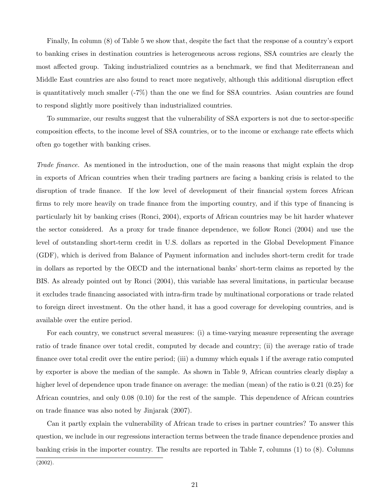Finally, In column (8) of Table 5 we show that, despite the fact that the response of a country's export to banking crises in destination countries is heterogeneous across regions, SSA countries are clearly the most affected group. Taking industrialized countries as a benchmark, we find that Mediterranean and Middle East countries are also found to react more negatively, although this additional disruption effect is quantitatively much smaller (-7%) than the one we find for SSA countries. Asian countries are found to respond slightly more positively than industrialized countries.

To summarize, our results suggest that the vulnerability of SSA exporters is not due to sector-specific composition effects, to the income level of SSA countries, or to the income or exchange rate effects which often go together with banking crises.

Trade finance. As mentioned in the introduction, one of the main reasons that might explain the drop in exports of African countries when their trading partners are facing a banking crisis is related to the disruption of trade finance. If the low level of development of their financial system forces African firms to rely more heavily on trade finance from the importing country, and if this type of financing is particularly hit by banking crises (Ronci, 2004), exports of African countries may be hit harder whatever the sector considered. As a proxy for trade finance dependence, we follow Ronci (2004) and use the level of outstanding short-term credit in U.S. dollars as reported in the Global Development Finance (GDF), which is derived from Balance of Payment information and includes short-term credit for trade in dollars as reported by the OECD and the international banks' short-term claims as reported by the BIS. As already pointed out by Ronci (2004), this variable has several limitations, in particular because it excludes trade financing associated with intra-firm trade by multinational corporations or trade related to foreign direct investment. On the other hand, it has a good coverage for developing countries, and is available over the entire period.

For each country, we construct several measures: (i) a time-varying measure representing the average ratio of trade finance over total credit, computed by decade and country; (ii) the average ratio of trade finance over total credit over the entire period; (iii) a dummy which equals 1 if the average ratio computed by exporter is above the median of the sample. As shown in Table 9, African countries clearly display a higher level of dependence upon trade finance on average: the median (mean) of the ratio is 0.21 (0.25) for African countries, and only 0.08 (0.10) for the rest of the sample. This dependence of African countries on trade finance was also noted by Jinjarak (2007).

Can it partly explain the vulnerability of African trade to crises in partner countries? To answer this question, we include in our regressions interaction terms between the trade finance dependence proxies and banking crisis in the importer country. The results are reported in Table 7, columns (1) to (8). Columns

<sup>(2002).</sup>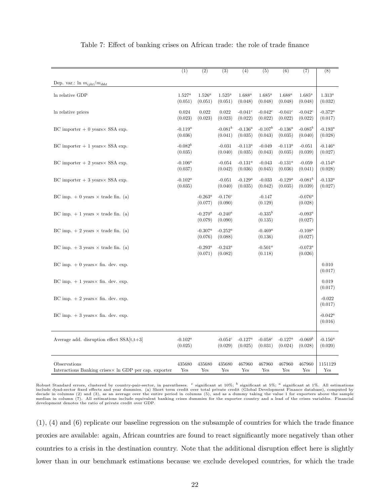|                                                                               | (1)                   | (2)                    | (3)                     | (4)                     | (5)                     | (6)                     | (7)                     | (8)                     |
|-------------------------------------------------------------------------------|-----------------------|------------------------|-------------------------|-------------------------|-------------------------|-------------------------|-------------------------|-------------------------|
| Dep. var.: $\ln m_{i j h t}/m_{i b h t}$                                      |                       |                        |                         |                         |                         |                         |                         |                         |
| In relative GDP                                                               | $1.527^a$<br>(0.051)  | $1.526^{a}$<br>(0.051) | $1.525^a$<br>(0.051)    | $1.688^a$<br>(0.048)    | $1.685^a$<br>(0.048)    | $1.688^{a}$<br>(0.048)  | $1.685^a$<br>(0.048)    | $1.313^{a}$<br>(0.032)  |
| In relative prices                                                            | 0.024<br>(0.023)      | 0.022<br>(0.023)       | 0.022<br>(0.023)        | $-0.041^{c}$<br>(0.022) | $-0.042^c$<br>(0.022)   | $-0.041^{c}$<br>(0.022) | $-0.042^c$<br>(0.022)   | $-0.372^a$<br>(0.017)   |
| $BC$ importer $+ 0$ years $\times$ SSA exp.                                   | $-0.119^a$<br>(0.036) |                        | $-0.081^{b}$<br>(0.041) | $-0.136^a$<br>(0.035)   | $-0.107^b$<br>(0.043)   | $-0.136^a$<br>(0.035)   | $-0.085^b$<br>(0.040)   | $-0.193^a$<br>(0.028)   |
| $BC$ importer $+1$ years $\times$ SSA exp.                                    | $-0.082^b$<br>(0.035) |                        | $-0.031$<br>(0.040)     | $-0.113^a$<br>(0.035)   | $-0.049$<br>(0.043)     | $-0.113^a$<br>(0.035)   | $-0.051$<br>(0.039)     | $-0.146^a$<br>(0.027)   |
| $BC$ importer $+2$ years $\times$ SSA exp.                                    | $-0.106^a$<br>(0.037) |                        | $-0.054$<br>(0.042)     | $-0.131^{a}$<br>(0.036) | $-0.043$<br>(0.045)     | $-0.131^a$<br>(0.036)   | $-0.059$<br>(0.041)     | $-0.154^a$<br>(0.028)   |
| $BC$ importer $+3$ years $\times$ SSA exp.                                    | $-0.102^a$<br>(0.035) |                        | $-0.051$<br>(0.040)     | $-0.129^a$<br>(0.035)   | $-0.033$<br>(0.042)     | $-0.129^a$<br>(0.035)   | $-0.081^{b}$<br>(0.039) | $-0.133^{a}$<br>(0.027) |
| BC imp. $+0$ years $\times$ trade fin. (a)                                    |                       | $-0.263^a$<br>(0.077)  | $-0.176c$<br>(0.090)    |                         | $-0.147$<br>(0.129)     |                         | $-0.076^a$<br>(0.028)   |                         |
| BC imp. $+1$ years $\times$ trade fin. (a)                                    |                       | $-0.270^a$<br>(0.079)  | $-0.240^a$<br>(0.090)   |                         | $-0.335^{b}$<br>(0.135) |                         | $-0.093^a$<br>(0.027)   |                         |
| BC imp. $+2$ years $\times$ trade fin. (a)                                    |                       | $-0.307^a$<br>(0.076)  | $-0.252^a$<br>(0.088)   |                         | $-0.469^a$<br>(0.136)   |                         | $-0.108^a$<br>(0.027)   |                         |
| BC imp. $+3$ years $\times$ trade fin. (a)                                    |                       | $-0.293^a$<br>(0.071)  | $-0.243^a$<br>(0.082)   |                         | $-0.501^a$<br>(0.118)   |                         | $-0.073^a$<br>(0.026)   |                         |
| $BC$ imp. $+0$ years $\times$ fin. dev. exp.                                  |                       |                        |                         |                         |                         |                         |                         | 0.010<br>(0.017)        |
| $BC$ imp. $+1$ years $\times$ fin. dev. exp.                                  |                       |                        |                         |                         |                         |                         |                         | 0.019<br>(0.017)        |
| BC imp. $+2$ years $\times$ fin. dev. exp.                                    |                       |                        |                         |                         |                         |                         |                         | $-0.022$<br>(0.017)     |
| $BC$ imp. $+3$ years $\times$ fin. dev. exp.                                  |                       |                        |                         |                         |                         |                         |                         | $-0.042^a$<br>(0.016)   |
| Average add. disruption effect $SSA[t,t+3]$                                   | $-0.102^a$<br>(0.025) |                        | $-0.054c$<br>(0.029)    | $-0.127^a$<br>(0.025)   | $-0.058c$<br>(0.031)    | $-0.127^a$<br>(0.024)   | $-0.069^b$<br>(0.028)   | $-0.156^a$<br>(0.020)   |
| Observations<br>Interactions Banking crises $\times$ ln GDP per cap. exporter | 435680<br>Yes         | 435680<br>Yes          | 435680<br>Yes           | 467960<br>Yes           | 467960<br>Yes           | 467960<br>Yes           | 467960<br>Yes           | 1151129<br>Yes          |

#### Table 7: Effect of banking crises on African trade: the role of trade finance

Robust Standard errors, clustered by country-pair-sector, in parentheses. <sup>c</sup> significant at 10%; <sup>b</sup> significant at 5%; <sup>a</sup> significant at 1%. All estimations<br>include dyad-sector fixed effects and year dummies. (a) Short decade in columns (2) and (3), as an average over the entire period in columns (5), and as a dummy taking the value 1 for exporters above the sample<br>median in column (7). All estimations include equivalent banking crises d development denotes the ratio of private credit over GDP.

(1), (4) and (6) replicate our baseline regression on the subsample of countries for which the trade finance proxies are available: again, African countries are found to react significantly more negatively than other countries to a crisis in the destination country. Note that the additional disruption effect here is slightly lower than in our benchmark estimations because we exclude developed countries, for which the trade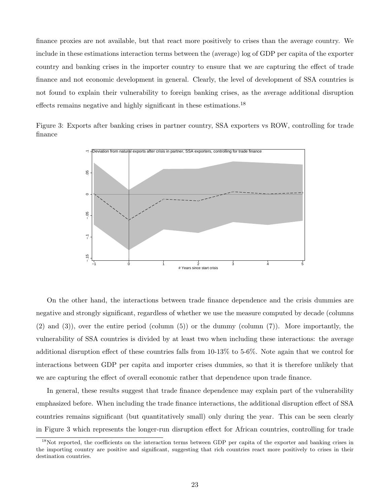finance proxies are not available, but that react more positively to crises than the average country. We include in these estimations interaction terms between the (average) log of GDP per capita of the exporter country and banking crises in the importer country to ensure that we are capturing the effect of trade finance and not economic development in general. Clearly, the level of development of SSA countries is not found to explain their vulnerability to foreign banking crises, as the average additional disruption effects remains negative and highly significant in these estimations.<sup>18</sup>

Figure 3: Exports after banking crises in partner country, SSA exporters vs ROW, controlling for trade finance



On the other hand, the interactions between trade finance dependence and the crisis dummies are negative and strongly significant, regardless of whether we use the measure computed by decade (columns (2) and (3)), over the entire period (column (5)) or the dummy (column (7)). More importantly, the vulnerability of SSA countries is divided by at least two when including these interactions: the average additional disruption effect of these countries falls from 10-13% to 5-6%. Note again that we control for interactions between GDP per capita and importer crises dummies, so that it is therefore unlikely that we are capturing the effect of overall economic rather that dependence upon trade finance.

In general, these results suggest that trade finance dependence may explain part of the vulnerability emphasized before. When including the trade finance interactions, the additional disruption effect of SSA countries remains significant (but quantitatively small) only during the year. This can be seen clearly in Figure 3 which represents the longer-run disruption effect for African countries, controlling for trade

<sup>&</sup>lt;sup>18</sup>Not reported, the coefficients on the interaction terms between GDP per capita of the exporter and banking crises in the importing country are positive and significant, suggesting that rich countries react more positively to crises in their destination countries.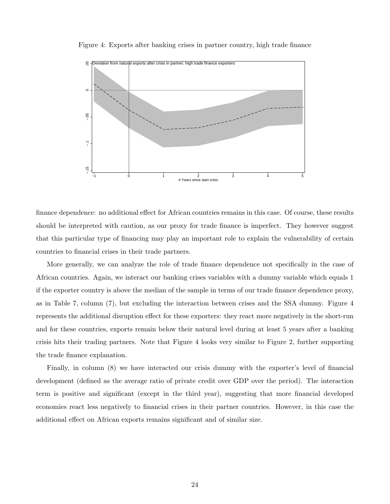

Figure 4: Exports after banking crises in partner country, high trade finance

finance dependence: no additional effect for African countries remains in this case. Of course, these results should be interpreted with caution, as our proxy for trade finance is imperfect. They however suggest that this particular type of financing may play an important role to explain the vulnerability of certain countries to financial crises in their trade partners.

More generally, we can analyze the role of trade finance dependence not specifically in the case of African countries. Again, we interact our banking crises variables with a dummy variable which equals 1 if the exporter country is above the median of the sample in terms of our trade finance dependence proxy, as in Table 7, column (7), but excluding the interaction between crises and the SSA dummy. Figure 4 represents the additional disruption effect for these exporters: they react more negatively in the short-run and for these countries, exports remain below their natural level during at least 5 years after a banking crisis hits their trading partners. Note that Figure 4 looks very similar to Figure 2, further supporting the trade finance explanation.

Finally, in column (8) we have interacted our crisis dummy with the exporter's level of financial development (defined as the average ratio of private credit over GDP over the period). The interaction term is positive and significant (except in the third year), suggesting that more financial developed economies react less negatively to financial crises in their partner countries. However, in this case the additional effect on African exports remains significant and of similar size.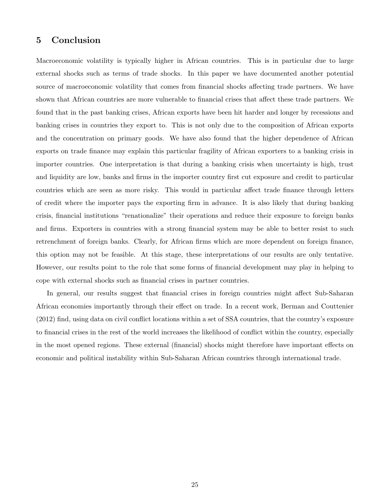#### 5 Conclusion

Macroeconomic volatility is typically higher in African countries. This is in particular due to large external shocks such as terms of trade shocks. In this paper we have documented another potential source of macroeconomic volatility that comes from financial shocks affecting trade partners. We have shown that African countries are more vulnerable to financial crises that affect these trade partners. We found that in the past banking crises, African exports have been hit harder and longer by recessions and banking crises in countries they export to. This is not only due to the composition of African exports and the concentration on primary goods. We have also found that the higher dependence of African exports on trade finance may explain this particular fragility of African exporters to a banking crisis in importer countries. One interpretation is that during a banking crisis when uncertainty is high, trust and liquidity are low, banks and firms in the importer country first cut exposure and credit to particular countries which are seen as more risky. This would in particular affect trade finance through letters of credit where the importer pays the exporting firm in advance. It is also likely that during banking crisis, financial institutions "renationalize" their operations and reduce their exposure to foreign banks and firms. Exporters in countries with a strong financial system may be able to better resist to such retrenchment of foreign banks. Clearly, for African firms which are more dependent on foreign finance, this option may not be feasible. At this stage, these interpretations of our results are only tentative. However, our results point to the role that some forms of financial development may play in helping to cope with external shocks such as financial crises in partner countries.

In general, our results suggest that financial crises in foreign countries might affect Sub-Saharan African economies importantly through their effect on trade. In a recent work, Berman and Couttenier (2012) find, using data on civil conflict locations within a set of SSA countries, that the country's exposure to financial crises in the rest of the world increases the likelihood of conflict within the country, especially in the most opened regions. These external (financial) shocks might therefore have important effects on economic and political instability within Sub-Saharan African countries through international trade.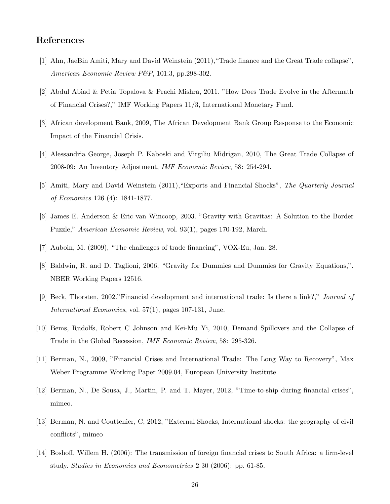## References

- [1] Ahn, JaeBin Amiti, Mary and David Weinstein (2011),"Trade finance and the Great Trade collapse", American Economic Review P&P, 101:3, pp.298-302.
- [2] Abdul Abiad & Petia Topalova & Prachi Mishra, 2011. "How Does Trade Evolve in the Aftermath of Financial Crises?," IMF Working Papers 11/3, International Monetary Fund.
- [3] African development Bank, 2009, The African Development Bank Group Response to the Economic Impact of the Financial Crisis.
- [4] Alessandria George, Joseph P. Kaboski and Virgiliu Midrigan, 2010, The Great Trade Collapse of 2008-09: An Inventory Adjustment, IMF Economic Review, 58: 254-294.
- [5] Amiti, Mary and David Weinstein (2011),"Exports and Financial Shocks", The Quarterly Journal of Economics 126 (4): 1841-1877.
- [6] James E. Anderson & Eric van Wincoop, 2003. "Gravity with Gravitas: A Solution to the Border Puzzle," American Economic Review, vol. 93(1), pages 170-192, March.
- [7] Auboin, M. (2009), "The challenges of trade financing", VOX-Eu, Jan. 28.
- [8] Baldwin, R. and D. Taglioni, 2006, "Gravity for Dummies and Dummies for Gravity Equations,". NBER Working Papers 12516.
- [9] Beck, Thorsten, 2002."Financial development and international trade: Is there a link?," Journal of International Economics, vol. 57(1), pages 107-131, June.
- [10] Bems, Rudolfs, Robert C Johnson and Kei-Mu Yi, 2010, Demand Spillovers and the Collapse of Trade in the Global Recession, IMF Economic Review, 58: 295-326.
- [11] Berman, N., 2009, "Financial Crises and International Trade: The Long Way to Recovery", Max Weber Programme Working Paper 2009.04, European University Institute
- [12] Berman, N., De Sousa, J., Martin, P. and T. Mayer, 2012, "Time-to-ship during financial crises", mimeo.
- [13] Berman, N. and Couttenier, C, 2012, "External Shocks, International shocks: the geography of civil conflicts", mimeo
- [14] Boshoff, Willem H. (2006): The transmission of foreign financial crises to South Africa: a firm-level study. Studies in Economics and Econometrics 2 30 (2006): pp. 61-85.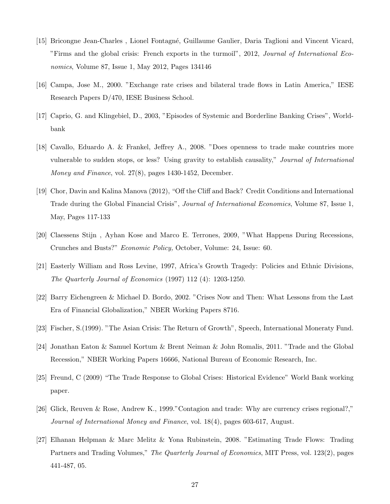- [15] Bricongne Jean-Charles , Lionel Fontagn´e, Guillaume Gaulier, Daria Taglioni and Vincent Vicard, "Firms and the global crisis: French exports in the turmoil", 2012, Journal of International Economics, Volume 87, Issue 1, May 2012, Pages 134146
- [16] Campa, Jose M., 2000. "Exchange rate crises and bilateral trade flows in Latin America," IESE Research Papers D/470, IESE Business School.
- [17] Caprio, G. and Klingebiel, D., 2003, "Episodes of Systemic and Borderline Banking Crises", Worldbank
- [18] Cavallo, Eduardo A. & Frankel, Jeffrey A., 2008. "Does openness to trade make countries more vulnerable to sudden stops, or less? Using gravity to establish causality," Journal of International Money and Finance, vol. 27(8), pages 1430-1452, December.
- [19] Chor, Davin and Kalina Manova (2012), "Off the Cliff and Back? Credit Conditions and International Trade during the Global Financial Crisis", Journal of International Economics, Volume 87, Issue 1, May, Pages 117-133
- [20] Claessens Stijn , Ayhan Kose and Marco E. Terrones, 2009, "What Happens During Recessions, Crunches and Busts?" Economic Policy, October, Volume: 24, Issue: 60.
- [21] Easterly William and Ross Levine, 1997, Africa's Growth Tragedy: Policies and Ethnic Divisions, The Quarterly Journal of Economics (1997) 112 (4): 1203-1250.
- [22] Barry Eichengreen & Michael D. Bordo, 2002. "Crises Now and Then: What Lessons from the Last Era of Financial Globalization," NBER Working Papers 8716.
- [23] Fischer, S.(1999). "The Asian Crisis: The Return of Growth", Speech, International Moneraty Fund.
- [24] Jonathan Eaton & Samuel Kortum & Brent Neiman & John Romalis, 2011. "Trade and the Global Recession," NBER Working Papers 16666, National Bureau of Economic Research, Inc.
- [25] Freund, C (2009) "The Trade Response to Global Crises: Historical Evidence" World Bank working paper.
- [26] Glick, Reuven & Rose, Andrew K., 1999."Contagion and trade: Why are currency crises regional?," Journal of International Money and Finance, vol. 18(4), pages 603-617, August.
- [27] Elhanan Helpman & Marc Melitz & Yona Rubinstein, 2008. "Estimating Trade Flows: Trading Partners and Trading Volumes," The Quarterly Journal of Economics, MIT Press, vol. 123(2), pages 441-487, 05.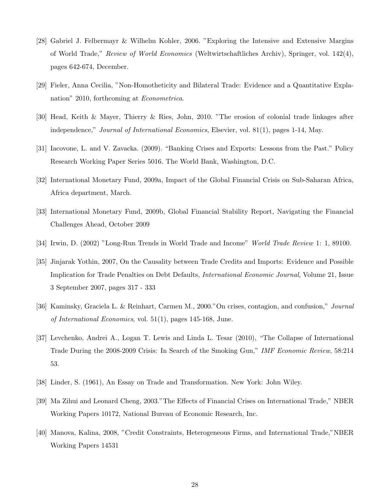- [28] Gabriel J. Felbermayr & Wilhelm Kohler, 2006. "Exploring the Intensive and Extensive Margins of World Trade," Review of World Economics (Weltwirtschaftliches Archiv), Springer, vol. 142(4), pages 642-674, December.
- [29] Fieler, Anna Cecilia, "Non-Homotheticity and Bilateral Trade: Evidence and a Quantitative Explanation" 2010, forthcoming at Econometrica.
- [30] Head, Keith & Mayer, Thierry & Ries, John, 2010. "The erosion of colonial trade linkages after independence," Journal of International Economics, Elsevier, vol. 81(1), pages 1-14, May.
- [31] Iacovone, L. and V. Zavacka. (2009). "Banking Crises and Exports: Lessons from the Past." Policy Research Working Paper Series 5016. The World Bank, Washington, D.C.
- [32] International Monetary Fund, 2009a, Impact of the Global Financial Crisis on Sub-Saharan Africa, Africa department, March.
- [33] International Monetary Fund, 2009b, Global Financial Stability Report, Navigating the Financial Challenges Ahead, October 2009
- [34] Irwin, D. (2002) "Long-Run Trends in World Trade and Income" World Trade Review 1: 1, 89100.
- [35] Jinjarak Yothin, 2007, On the Causality between Trade Credits and Imports: Evidence and Possible Implication for Trade Penalties on Debt Defaults, International Economic Journal, Volume 21, Issue 3 September 2007, pages 317 - 333
- [36] Kaminsky, Graciela L. & Reinhart, Carmen M., 2000."On crises, contagion, and confusion," Journal of International Economics, vol. 51(1), pages 145-168, June.
- [37] Levchenko, Andrei A., Logan T. Lewis and Linda L. Tesar (2010), "The Collapse of International Trade During the 2008-2009 Crisis: In Search of the Smoking Gun," IMF Economic Review, 58:214 53.
- [38] Linder, S. (1961), An Essay on Trade and Transformation. New York: John Wiley.
- [39] Ma Zihui and Leonard Cheng, 2003."The Effects of Financial Crises on International Trade," NBER Working Papers 10172, National Bureau of Economic Research, Inc.
- [40] Manova, Kalina, 2008, "Credit Constraints, Heterogeneous Firms, and International Trade,"NBER Working Papers 14531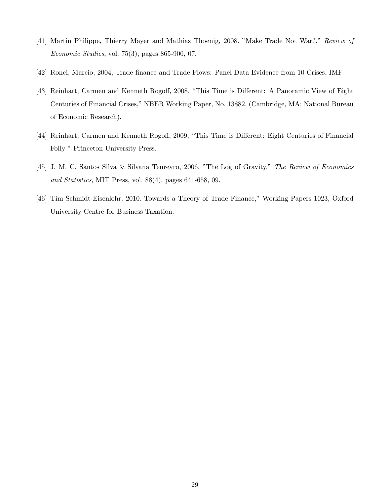- [41] Martin Philippe, Thierry Mayer and Mathias Thoenig, 2008. "Make Trade Not War?," Review of Economic Studies, vol. 75(3), pages 865-900, 07.
- [42] Ronci, Marcio, 2004, Trade finance and Trade Flows: Panel Data Evidence from 10 Crises, IMF
- [43] Reinhart, Carmen and Kenneth Rogoff, 2008, "This Time is Different: A Panoramic View of Eight Centuries of Financial Crises," NBER Working Paper, No. 13882. (Cambridge, MA: National Bureau of Economic Research).
- [44] Reinhart, Carmen and Kenneth Rogoff, 2009, "This Time is Different: Eight Centuries of Financial Folly " Princeton University Press.
- [45] J. M. C. Santos Silva & Silvana Tenreyro, 2006. "The Log of Gravity," The Review of Economics and Statistics, MIT Press, vol. 88(4), pages 641-658, 09.
- [46] Tim Schmidt-Eisenlohr, 2010. Towards a Theory of Trade Finance," Working Papers 1023, Oxford University Centre for Business Taxation.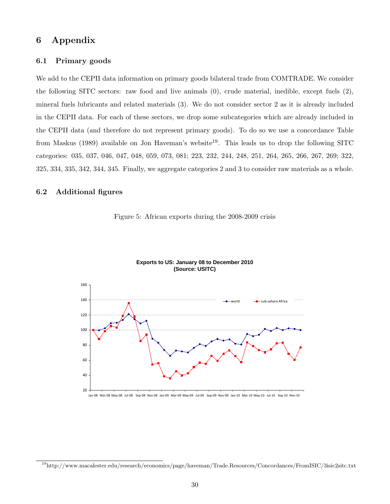## 6 Appendix

#### 6.1 Primary goods

We add to the CEPII data information on primary goods bilateral trade from COMTRADE. We consider the following SITC sectors: raw food and live animals (0), crude material, inedible, except fuels (2), mineral fuels lubricants and related materials (3). We do not consider sector 2 as it is already included in the CEPII data. For each of these sectors, we drop some subcategories which are already included in the CEPII data (and therefore do not represent primary goods). To do so we use a concordance Table from Maskus (1989) available on Jon Haveman's website<sup>19</sup>. This leads us to drop the following SITC categories: 035, 037, 046, 047, 048, 059, 073, 081; 223, 232, 244, 248, 251, 264, 265, 266, 267, 269; 322, 325, 334, 335, 342, 344, 345. Finally, we aggregate categories 2 and 3 to consider raw materials as a whole.

#### 6.2 Additional figures





**Exports to US: January 08 to December 2010 (Source: USITC)**

Jan‐08 Mar‐08 May‐08 Jul‐08 Sep‐08 Nov‐08 Jan‐09 Mar‐09 May‐09 Jul‐09 Sep‐09 Nov‐09 Jan‐10 Mar‐10 May‐10 Jul‐10 Sep‐10 Nov‐10

<sup>19</sup>http://www.macalester.edu/research/economics/page/haveman/Trade.Resources/Concordances/FromISIC/3isic2sitc.txt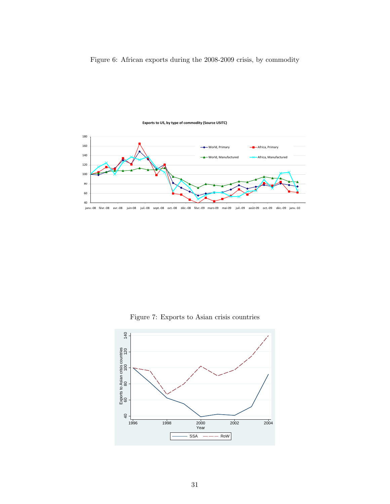Figure 6: African exports during the 2008-2009 crisis, by commodity



**Exports to US, by type of commodity (Source USITC)**

juin‐08 juil.‐08 sept.‐08 oct.‐08 déc.‐08 févr.‐09 mars‐09 mai‐09 juil.‐09 août‐09 oct.‐09 déc.‐09 janv.‐10

Figure 7: Exports to Asian crisis countries

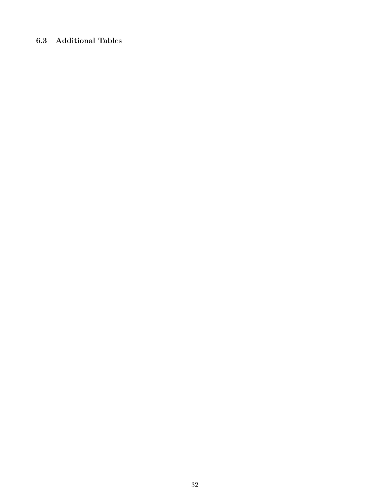### 6.3 Additional Tables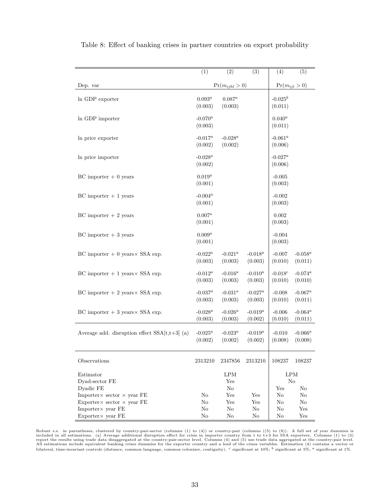|                                                                                        | (1)                    | $\overline{(2)}$        | $\overline{(3)}$             | (4)                    | (5)                    |
|----------------------------------------------------------------------------------------|------------------------|-------------------------|------------------------------|------------------------|------------------------|
| Dep. var                                                                               |                        | $Pr(m_{ijht} > 0)$      |                              |                        | $Pr(m_{ijt} > 0)$      |
| In GDP exporter                                                                        | $0.093^a$<br>(0.003)   | $0.087^a$<br>(0.003)    |                              | $-0.025^b$<br>(0.011)  |                        |
| In GDP importer                                                                        | $-0.070^a$<br>(0.003)  |                         |                              | $0.040^a$<br>(0.011)   |                        |
| In price exporter                                                                      | $-0.017^a$<br>(0.002)  | -0.028 $^a$<br>(0.002)  |                              | -0.061 $^a$<br>(0.006) |                        |
| In price importer                                                                      | $-0.028^a$<br>(0.002)  |                         |                              | -0.027 $^a$<br>(0.006) |                        |
| $BC$ importer $+0$ years                                                               | $0.019^a$<br>(0.001)   |                         |                              | $-0.005$<br>(0.003)    |                        |
| $BC$ importer $+1$ years                                                               | $-0.004^a$<br>(0.001)  |                         |                              | $-0.002$<br>(0.003)    |                        |
| $BC$ importer $+2$ years                                                               | $0.007^a$<br>(0.001)   |                         |                              | 0.002<br>(0.003)       |                        |
| $BC$ importer $+3$ years                                                               | $0.009^a$<br>(0.001)   |                         |                              | $-0.004$<br>(0.003)    |                        |
| $BC$ importer $+ 0$ years $\angle$ SSA exp.                                            | $-0.022^a$<br>(0.003)  | $-0.021^{a}$<br>(0.003) | $-0.018^a$<br>(0.003)        | $-0.007$<br>(0.010)    | -0.058 $^a$<br>(0.011) |
| $BC$ importer $+1$ years $\times$ SSA exp.                                             | $-0.012^a$<br>(0.003)  | $-0.016^a$<br>(0.003)   | $-0.010^a$<br>(0.003)        | -0.018 $^c$<br>(0.010) | $-0.074^a$<br>(0.010)  |
| $BC$ importer $+2$ years $\times$ SSA exp.                                             | $-0.037^a$<br>(0.003)  | $-0.031^{a}$<br>(0.003) | $-0.027^a$<br>(0.003)        | $-0.008$<br>(0.010)    | -0.067 $^a$<br>(0.011) |
| $BC$ importer $+3$ years $\times$ SSA exp.                                             | $-0.028^a$<br>(0.003)  | $-0.026^a$<br>(0.003)   | $-0.019^a$<br>(0.002)        | $-0.006$<br>(0.010)    | -0.064 $^a$<br>(0.011) |
| Average add. disruption effect $SSA[t,t+3]$ (a)                                        | -0.025 $^a$<br>(0.002) | $-0.023^a$<br>(0.002)   | $\text{-}0.019^a$<br>(0.002) | $-0.010$<br>(0.008)    | -0.066 $^a$<br>(0.008) |
| Observations                                                                           | 2313210                | 2347856                 | 2313210                      | 108237                 | 108237                 |
| Estimator                                                                              |                        | <b>LPM</b>              |                              |                        | <b>LPM</b>             |
| Dyad-sector FE                                                                         |                        | Yes                     |                              |                        | N <sub>o</sub>         |
| Dyadic FE                                                                              |                        | $\rm No$                |                              | Yes                    | No                     |
| Importer $\times$ sector $\times$ year FE<br>Exporter $\times$ sector $\times$ year FE | $\rm No$<br>No         | Yes<br>Yes              | Yes<br>Yes                   | No<br>No               | $\rm No$<br>No         |
| $Importer \times year$ FE                                                              | $\rm No$               | $\rm No$                | $\rm No$                     | No                     | Yes                    |
| Exporter× year FE                                                                      | No                     | No                      | No                           | No                     | Yes                    |

Table 8: Effect of banking crises in partner countries on export probability

Robust s.e. in parentheses, clustered by country-pair-sector (columns (1) to (4)) or country-pair (columns ((5) to (8)). A full set of year dummies is<br>included in all estimations. (a) Average additional disruption effect